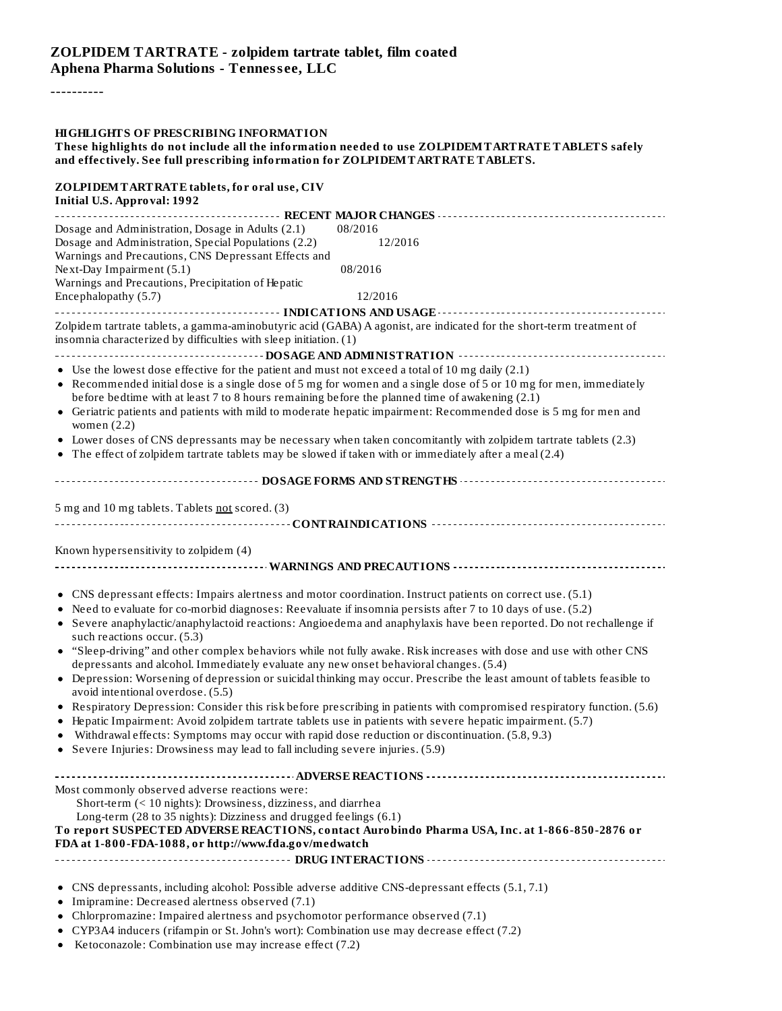----------

| <b>HIGHLIGHTS OF PRESCRIBING INFORMATION</b><br>These highlights do not include all the information needed to use ZOLPIDEMTARTRATETABLETS safely<br>and effectively. See full prescribing information for ZOLPIDEMTARTRATE TABLETS.                                                                                                                                                                                                                                                                                                                                                                                                                                                                                                                                                                                                                                                                                                                                                                                                                                                                                                                                                                   |  |
|-------------------------------------------------------------------------------------------------------------------------------------------------------------------------------------------------------------------------------------------------------------------------------------------------------------------------------------------------------------------------------------------------------------------------------------------------------------------------------------------------------------------------------------------------------------------------------------------------------------------------------------------------------------------------------------------------------------------------------------------------------------------------------------------------------------------------------------------------------------------------------------------------------------------------------------------------------------------------------------------------------------------------------------------------------------------------------------------------------------------------------------------------------------------------------------------------------|--|
| ZOLPIDEM TARTRATE tablets, for oral use, CIV<br><b>Initial U.S. Approval: 1992</b>                                                                                                                                                                                                                                                                                                                                                                                                                                                                                                                                                                                                                                                                                                                                                                                                                                                                                                                                                                                                                                                                                                                    |  |
| Dosage and Administration, Dosage in Adults (2.1)<br>08/2016<br>Dosage and Administration, Special Populations (2.2)<br>12/2016<br>Warnings and Precautions, CNS Depressant Effects and<br>Next-Day Impairment (5.1)<br>08/2016<br>Warnings and Precautions, Precipitation of Hepatic<br>Encephalopathy (5.7)<br>12/2016                                                                                                                                                                                                                                                                                                                                                                                                                                                                                                                                                                                                                                                                                                                                                                                                                                                                              |  |
| ----------------------- INDICATIONS AND USAGE ------------------------------<br>.<br>Zolpidem tartrate tablets, a gamma-aminobutyric acid (GABA) A agonist, are indicated for the short-term treatment of<br>insomnia characterized by difficulties with sleep initiation. (1)                                                                                                                                                                                                                                                                                                                                                                                                                                                                                                                                                                                                                                                                                                                                                                                                                                                                                                                        |  |
| • Use the lowest dose effective for the patient and must not exceed a total of 10 mg daily (2.1)<br>• Recommended initial dose is a single dose of 5 mg for women and a single dose of 5 or 10 mg for men, immediately<br>before bedtime with at least 7 to 8 hours remaining before the planned time of awakening (2.1)<br>• Geriatric patients and patients with mild to moderate hepatic impairment: Recommended dose is 5 mg for men and<br>women $(2.2)$<br>• Lower doses of CNS depressants may be necessary when taken concomitantly with zolpidem tartrate tablets (2.3)<br>• The effect of zolpidem tartrate tablets may be slowed if taken with or immediately after a meal (2.4)                                                                                                                                                                                                                                                                                                                                                                                                                                                                                                           |  |
|                                                                                                                                                                                                                                                                                                                                                                                                                                                                                                                                                                                                                                                                                                                                                                                                                                                                                                                                                                                                                                                                                                                                                                                                       |  |
| 5 mg and 10 mg tablets. Tablets not scored. (3)<br>Known hypersensitivity to zolpidem (4)                                                                                                                                                                                                                                                                                                                                                                                                                                                                                                                                                                                                                                                                                                                                                                                                                                                                                                                                                                                                                                                                                                             |  |
| • CNS depressant effects: Impairs alertness and motor coordination. Instruct patients on correct use. (5.1)<br>• Need to evaluate for co-morbid diagnoses: Reevaluate if insomnia persists after 7 to 10 days of use. (5.2)<br>• Severe anaphylactic/anaphylactoid reactions: Angioedema and anaphylaxis have been reported. Do not rechallenge if<br>such reactions occur. (5.3)<br>• "Sleep-driving" and other complex behaviors while not fully awake. Risk increases with dose and use with other CNS<br>depressants and alcohol. Immediately evaluate any new onset behavioral changes. (5.4)<br>• Depression: Worsening of depression or suicidal thinking may occur. Prescribe the least amount of tablets feasible to<br>avoid intentional overdose. (5.5)<br>• Respiratory Depression: Consider this risk before prescribing in patients with compromised respiratory function. (5.6)<br>• Hepatic Impairment: Avoid zolpidem tartrate tablets use in patients with severe hepatic impairment. (5.7)<br>• Withdrawal effects: Symptoms may occur with rapid dose reduction or discontinuation. (5.8, 9.3)<br>• Severe Injuries: Drowsiness may lead to fall including severe injuries. (5.9) |  |
| Most commonly observed adverse reactions were:<br>Short-term (< 10 nights): Drowsiness, dizziness, and diarrhea<br>Long-term (28 to 35 nights): Dizziness and drugged feelings (6.1)<br>To report SUSPECTED ADVERSE REACTIONS, contact Aurobindo Pharma USA, Inc. at 1-866-850-2876 or<br>FDA at 1-800-FDA-1088, or http://www.fda.gov/medwatch                                                                                                                                                                                                                                                                                                                                                                                                                                                                                                                                                                                                                                                                                                                                                                                                                                                       |  |
| • CNS depressants, including alcohol: Possible adverse additive CNS-depressant effects (5.1, 7.1)<br>Imipramine: Decreased alertness observed (7.1)<br>Chlorpromazine: Impaired alertness and psychomotor performance observed (7.1)                                                                                                                                                                                                                                                                                                                                                                                                                                                                                                                                                                                                                                                                                                                                                                                                                                                                                                                                                                  |  |

- CYP3A4 inducers (rifampin or St. John's wort): Combination use may decrease effect (7.2)
- Ketoconazole: Combination use may increase effect (7.2)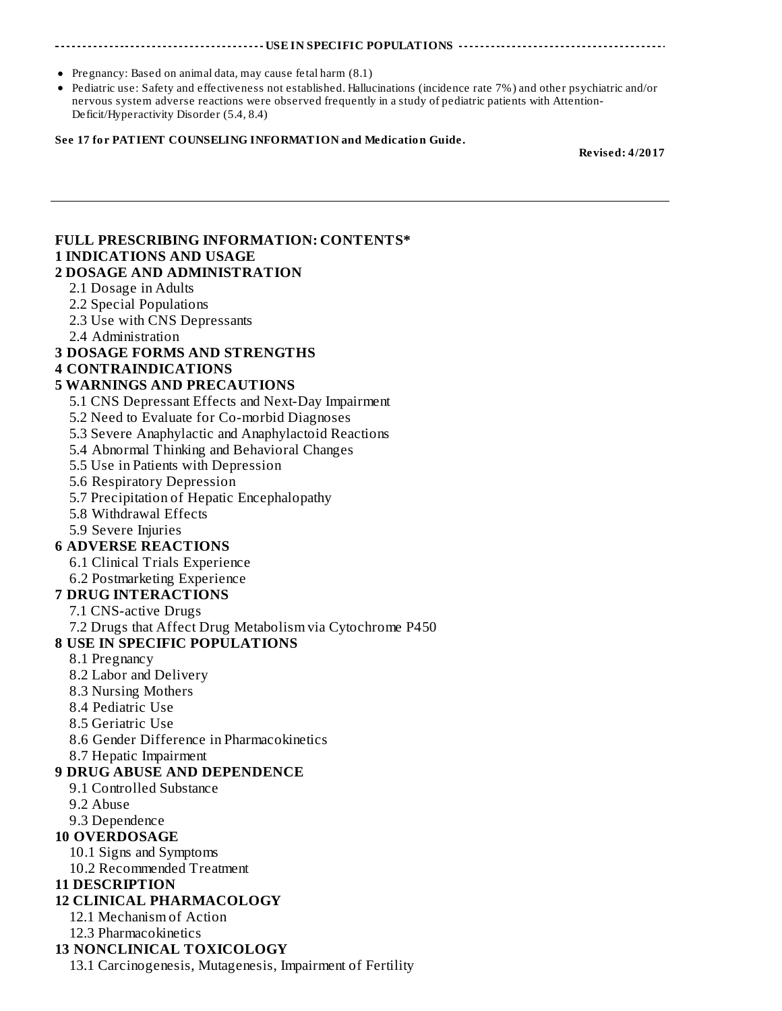#### **THE INVESTIGATIONS THE IN** SPECIFIC POPULATIONS

- Pregnancy: Based on animal data, may cause fetal harm (8.1)
- Pediatric use: Safety and effectiveness not established. Hallucinations (incidence rate 7%) and other psychiatric and/or nervous system adverse reactions were observed frequently in a study of pediatric patients with Attention-Deficit/Hyperactivity Disorder (5.4, 8.4)

#### **See 17 for PATIENT COUNSELING INFORMATION and Medication Guide.**

**Revised: 4/2017**

## **FULL PRESCRIBING INFORMATION: CONTENTS\* 1 INDICATIONS AND USAGE**

#### **2 DOSAGE AND ADMINISTRATION**

- 2.1 Dosage in Adults
- 2.2 Special Populations
- 2.3 Use with CNS Depressants
- 2.4 Administration

#### **3 DOSAGE FORMS AND STRENGTHS**

#### **4 CONTRAINDICATIONS**

#### **5 WARNINGS AND PRECAUTIONS**

- 5.1 CNS Depressant Effects and Next-Day Impairment
- 5.2 Need to Evaluate for Co-morbid Diagnoses
- 5.3 Severe Anaphylactic and Anaphylactoid Reactions
- 5.4 Abnormal Thinking and Behavioral Changes
- 5.5 Use in Patients with Depression
- 5.6 Respiratory Depression
- 5.7 Precipitation of Hepatic Encephalopathy
- 5.8 Withdrawal Effects
- 5.9 Severe Injuries

#### **6 ADVERSE REACTIONS**

- 6.1 Clinical Trials Experience
- 6.2 Postmarketing Experience

#### **7 DRUG INTERACTIONS**

- 7.1 CNS-active Drugs
- 7.2 Drugs that Affect Drug Metabolism via Cytochrome P450

#### **8 USE IN SPECIFIC POPULATIONS**

- 8.1 Pregnancy
- 8.2 Labor and Delivery
- 8.3 Nursing Mothers
- 8.4 Pediatric Use
- 8.5 Geriatric Use
- 8.6 Gender Difference in Pharmacokinetics
- 8.7 Hepatic Impairment

#### **9 DRUG ABUSE AND DEPENDENCE**

- 9.1 Controlled Substance
- 9.2 Abuse
- 9.3 Dependence

#### **10 OVERDOSAGE**

- 10.1 Signs and Symptoms
- 10.2 Recommended Treatment

#### **11 DESCRIPTION**

#### **12 CLINICAL PHARMACOLOGY**

- 12.1 Mechanism of Action
- 12.3 Pharmacokinetics

#### **13 NONCLINICAL TOXICOLOGY**

13.1 Carcinogenesis, Mutagenesis, Impairment of Fertility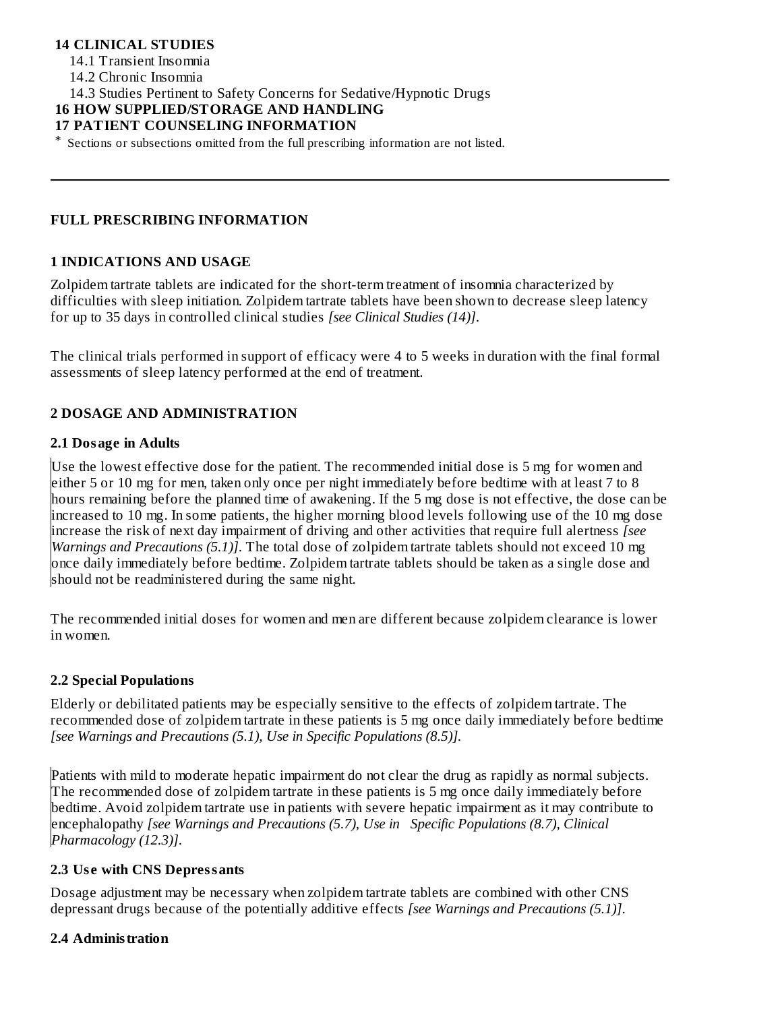### **14 CLINICAL STUDIES**

14.1 Transient Insomnia

14.2 Chronic Insomnia

14.3 Studies Pertinent to Safety Concerns for Sedative/Hypnotic Drugs

#### **16 HOW SUPPLIED/STORAGE AND HANDLING**

**17 PATIENT COUNSELING INFORMATION**

\* Sections or subsections omitted from the full prescribing information are not listed.

### **FULL PRESCRIBING INFORMATION**

#### **1 INDICATIONS AND USAGE**

Zolpidem tartrate tablets are indicated for the short-term treatment of insomnia characterized by difficulties with sleep initiation. Zolpidem tartrate tablets have been shown to decrease sleep latency for up to 35 days in controlled clinical studies *[see Clinical Studies (14)]*.

The clinical trials performed in support of efficacy were 4 to 5 weeks in duration with the final formal assessments of sleep latency performed at the end of treatment.

### **2 DOSAGE AND ADMINISTRATION**

#### **2.1 Dosage in Adults**

Use the lowest effective dose for the patient. The recommended initial dose is 5 mg for women and either 5 or 10 mg for men, taken only once per night immediately before bedtime with at least 7 to 8 hours remaining before the planned time of awakening. If the 5 mg dose is not effective, the dose can be increased to 10 mg. In some patients, the higher morning blood levels following use of the 10 mg dose increase the risk of next day impairment of driving and other activities that require full alertness *[see Warnings and Precautions (5.1)]*. The total dose of zolpidem tartrate tablets should not exceed 10 mg once daily immediately before bedtime. Zolpidem tartrate tablets should be taken as a single dose and should not be readministered during the same night.

The recommended initial doses for women and men are different because zolpidem clearance is lower in women.

#### **2.2 Special Populations**

Elderly or debilitated patients may be especially sensitive to the effects of zolpidem tartrate. The recommended dose of zolpidem tartrate in these patients is 5 mg once daily immediately before bedtime *[see Warnings and Precautions (5.1), Use in Specific Populations (8.5)].*

Patients with mild to moderate hepatic impairment do not clear the drug as rapidly as normal subjects. The recommended dose of zolpidem tartrate in these patients is 5 mg once daily immediately before bedtime. Avoid zolpidem tartrate use in patients with severe hepatic impairment as it may contribute to encephalopathy *[see Warnings and Precautions (5.7), Use in Specific Populations (8.7), Clinical Pharmacology (12.3)]*.

#### **2.3 Us e with CNS Depressants**

Dosage adjustment may be necessary when zolpidem tartrate tablets are combined with other CNS depressant drugs because of the potentially additive effects *[see Warnings and Precautions (5.1)]*.

#### **2.4 Administration**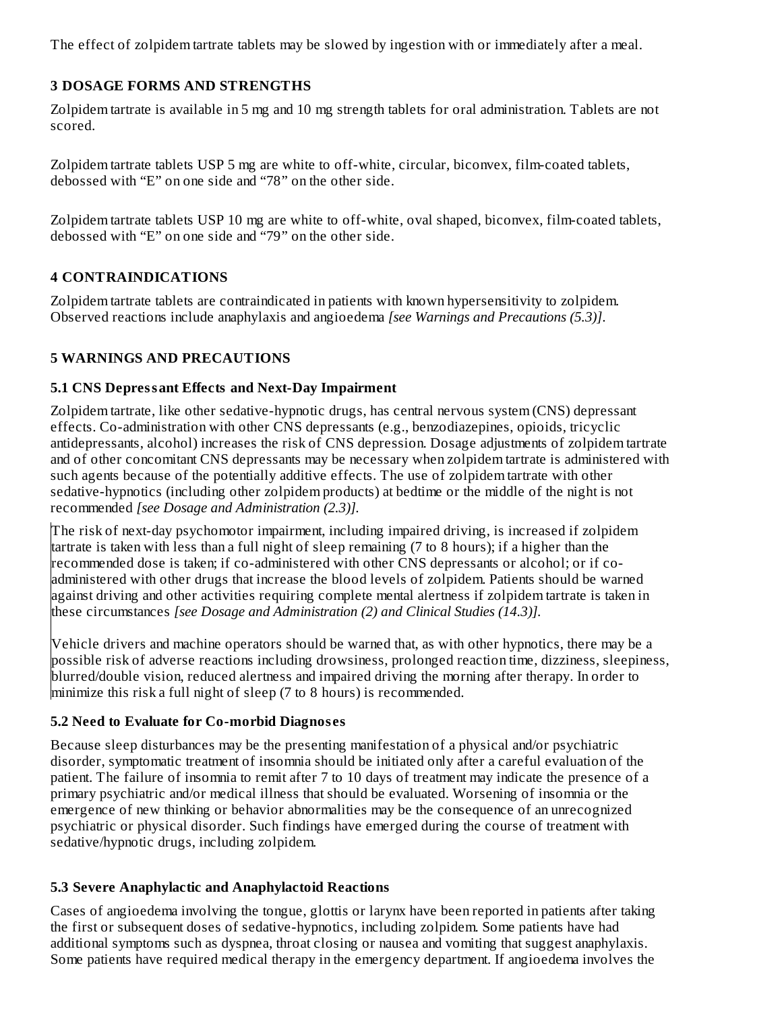The effect of zolpidem tartrate tablets may be slowed by ingestion with or immediately after a meal.

### **3 DOSAGE FORMS AND STRENGTHS**

Zolpidem tartrate is available in 5 mg and 10 mg strength tablets for oral administration. Tablets are not scored.

Zolpidem tartrate tablets USP 5 mg are white to off-white, circular, biconvex, film-coated tablets, debossed with "E" on one side and "78" on the other side.

Zolpidem tartrate tablets USP 10 mg are white to off-white, oval shaped, biconvex, film-coated tablets, debossed with "E" on one side and "79" on the other side.

### **4 CONTRAINDICATIONS**

Zolpidem tartrate tablets are contraindicated in patients with known hypersensitivity to zolpidem. Observed reactions include anaphylaxis and angioedema *[see Warnings and Precautions (5.3)]*.

## **5 WARNINGS AND PRECAUTIONS**

### **5.1 CNS Depressant Effects and Next-Day Impairment**

Zolpidem tartrate, like other sedative-hypnotic drugs, has central nervous system (CNS) depressant effects. Co-administration with other CNS depressants (e.g., benzodiazepines, opioids, tricyclic antidepressants, alcohol) increases the risk of CNS depression. Dosage adjustments of zolpidem tartrate and of other concomitant CNS depressants may be necessary when zolpidem tartrate is administered with such agents because of the potentially additive effects. The use of zolpidem tartrate with other sedative-hypnotics (including other zolpidem products) at bedtime or the middle of the night is not recommended *[see Dosage and Administration (2.3)].*

The risk of next-day psychomotor impairment, including impaired driving, is increased if zolpidem tartrate is taken with less than a full night of sleep remaining (7 to 8 hours); if a higher than the recommended dose is taken; if co-administered with other CNS depressants or alcohol; or if coadministered with other drugs that increase the blood levels of zolpidem. Patients should be warned against driving and other activities requiring complete mental alertness if zolpidem tartrate is taken in these circumstances *[see Dosage and Administration (2) and Clinical Studies (14.3)].*

Vehicle drivers and machine operators should be warned that, as with other hypnotics, there may be a possible risk of adverse reactions including drowsiness, prolonged reaction time, dizziness, sleepiness, blurred/double vision, reduced alertness and impaired driving the morning after therapy. In order to minimize this risk a full night of sleep (7 to 8 hours) is recommended.

### **5.2 Need to Evaluate for Co-morbid Diagnos es**

Because sleep disturbances may be the presenting manifestation of a physical and/or psychiatric disorder, symptomatic treatment of insomnia should be initiated only after a careful evaluation of the patient. The failure of insomnia to remit after 7 to 10 days of treatment may indicate the presence of a primary psychiatric and/or medical illness that should be evaluated. Worsening of insomnia or the emergence of new thinking or behavior abnormalities may be the consequence of an unrecognized psychiatric or physical disorder. Such findings have emerged during the course of treatment with sedative/hypnotic drugs, including zolpidem.

### **5.3 Severe Anaphylactic and Anaphylactoid Reactions**

Cases of angioedema involving the tongue, glottis or larynx have been reported in patients after taking the first or subsequent doses of sedative-hypnotics, including zolpidem. Some patients have had additional symptoms such as dyspnea, throat closing or nausea and vomiting that suggest anaphylaxis. Some patients have required medical therapy in the emergency department. If angioedema involves the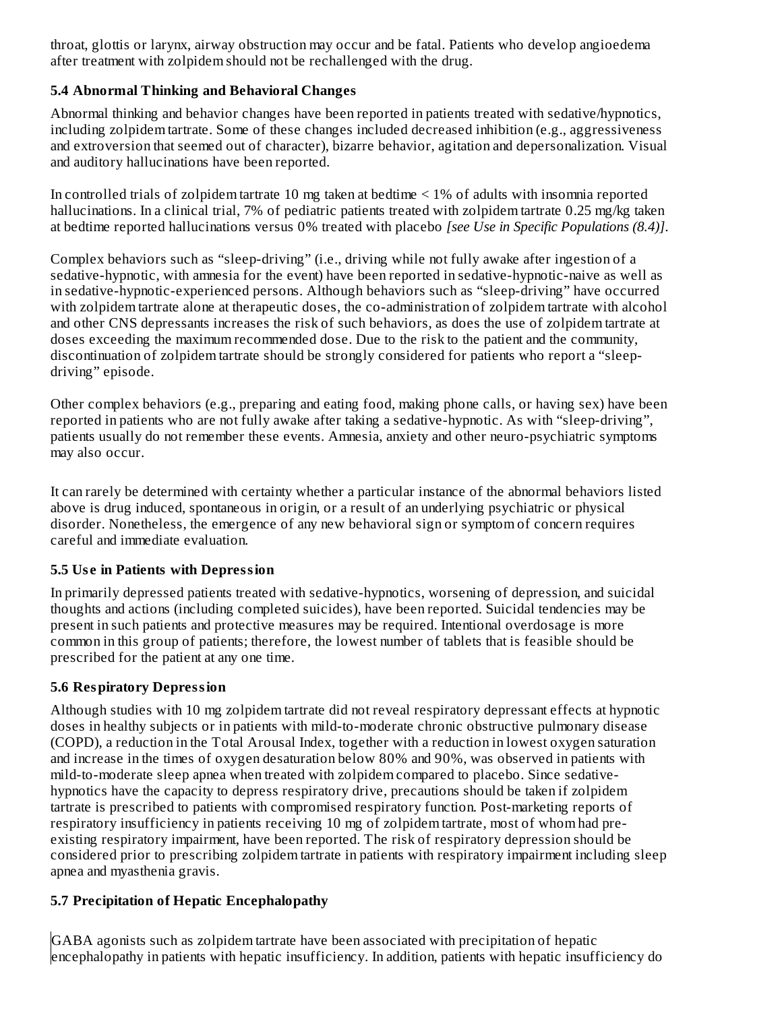throat, glottis or larynx, airway obstruction may occur and be fatal. Patients who develop angioedema after treatment with zolpidem should not be rechallenged with the drug*.*

### **5.4 Abnormal Thinking and Behavioral Changes**

Abnormal thinking and behavior changes have been reported in patients treated with sedative/hypnotics, including zolpidem tartrate. Some of these changes included decreased inhibition (e.g., aggressiveness and extroversion that seemed out of character), bizarre behavior, agitation and depersonalization. Visual and auditory hallucinations have been reported.

In controlled trials of zolpidem tartrate 10 mg taken at bedtime < 1% of adults with insomnia reported hallucinations. In a clinical trial, 7% of pediatric patients treated with zolpidem tartrate 0.25 mg/kg taken at bedtime reported hallucinations versus 0% treated with placebo *[see Use in Specific Populations (8.4)]*.

Complex behaviors such as "sleep-driving" (i.e., driving while not fully awake after ingestion of a sedative-hypnotic, with amnesia for the event) have been reported in sedative-hypnotic-naive as well as in sedative-hypnotic-experienced persons. Although behaviors such as "sleep-driving" have occurred with zolpidem tartrate alone at therapeutic doses, the co-administration of zolpidem tartrate with alcohol and other CNS depressants increases the risk of such behaviors, as does the use of zolpidem tartrate at doses exceeding the maximum recommended dose. Due to the risk to the patient and the community, discontinuation of zolpidem tartrate should be strongly considered for patients who report a "sleepdriving" episode.

Other complex behaviors (e.g., preparing and eating food, making phone calls, or having sex) have been reported in patients who are not fully awake after taking a sedative-hypnotic. As with "sleep-driving", patients usually do not remember these events. Amnesia, anxiety and other neuro-psychiatric symptoms may also occur.

It can rarely be determined with certainty whether a particular instance of the abnormal behaviors listed above is drug induced, spontaneous in origin, or a result of an underlying psychiatric or physical disorder. Nonetheless, the emergence of any new behavioral sign or symptom of concern requires careful and immediate evaluation.

### **5.5 Us e in Patients with Depression**

In primarily depressed patients treated with sedative-hypnotics, worsening of depression, and suicidal thoughts and actions (including completed suicides), have been reported. Suicidal tendencies may be present in such patients and protective measures may be required. Intentional overdosage is more common in this group of patients; therefore, the lowest number of tablets that is feasible should be prescribed for the patient at any one time*.*

#### **5.6 Respiratory Depression**

Although studies with 10 mg zolpidem tartrate did not reveal respiratory depressant effects at hypnotic doses in healthy subjects or in patients with mild-to-moderate chronic obstructive pulmonary disease (COPD), a reduction in the Total Arousal Index, together with a reduction in lowest oxygen saturation and increase in the times of oxygen desaturation below 80% and 90%, was observed in patients with mild-to-moderate sleep apnea when treated with zolpidem compared to placebo. Since sedativehypnotics have the capacity to depress respiratory drive, precautions should be taken if zolpidem tartrate is prescribed to patients with compromised respiratory function. Post-marketing reports of respiratory insufficiency in patients receiving 10 mg of zolpidem tartrate, most of whom had preexisting respiratory impairment, have been reported. The risk of respiratory depression should be considered prior to prescribing zolpidem tartrate in patients with respiratory impairment including sleep apnea and myasthenia gravis.

### **5.7 Precipitation of Hepatic Encephalopathy**

GABA agonists such as zolpidem tartrate have been associated with precipitation of hepatic encephalopathy in patients with hepatic insufficiency. In addition, patients with hepatic insufficiency do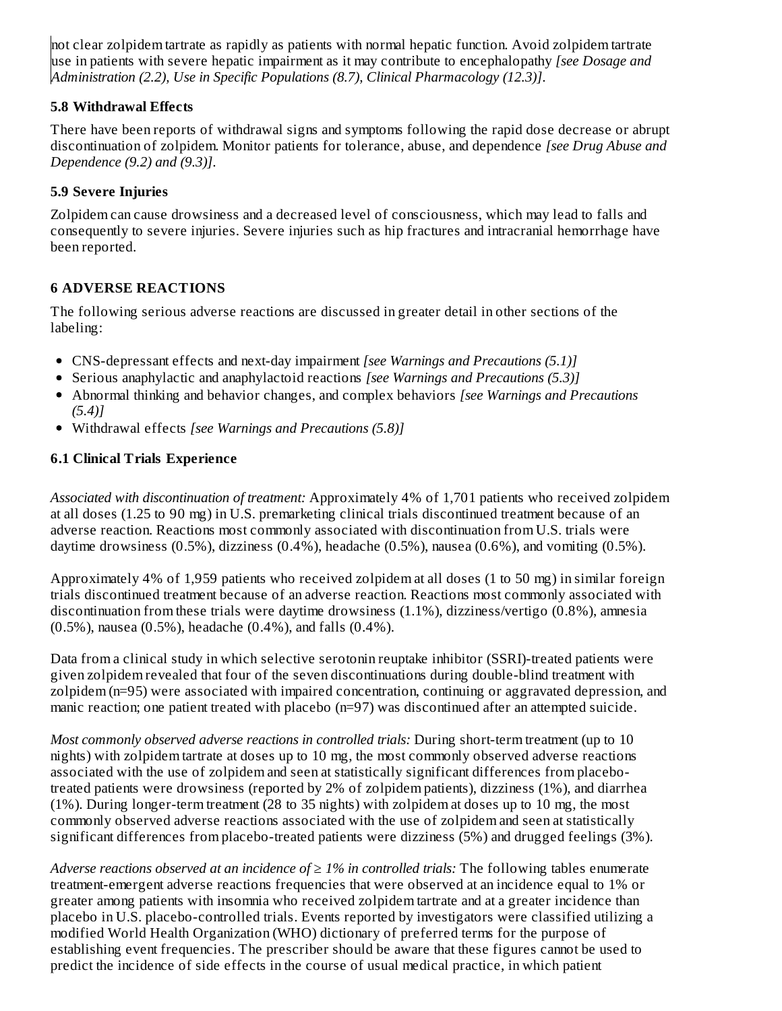not clear zolpidem tartrate as rapidly as patients with normal hepatic function. Avoid zolpidem tartrate use in patients with severe hepatic impairment as it may contribute to encephalopathy *[see Dosage and Administration (2.2), Use in Specific Populations (8.7), Clinical Pharmacology (12.3)]*.

### **5.8 Withdrawal Effects**

There have been reports of withdrawal signs and symptoms following the rapid dose decrease or abrupt discontinuation of zolpidem. Monitor patients for tolerance, abuse, and dependence *[see Drug Abuse and Dependence (9.2) and (9.3)]*.

### **5.9 Severe Injuries**

Zolpidem can cause drowsiness and a decreased level of consciousness, which may lead to falls and consequently to severe injuries. Severe injuries such as hip fractures and intracranial hemorrhage have been reported.

### **6 ADVERSE REACTIONS**

The following serious adverse reactions are discussed in greater detail in other sections of the labeling:

- CNS-depressant effects and next-day impairment *[see Warnings and Precautions (5.1)]*
- Serious anaphylactic and anaphylactoid reactions *[see Warnings and Precautions (5.3)]*
- Abnormal thinking and behavior changes, and complex behaviors *[see Warnings and Precautions (5.4)]*
- Withdrawal effects *[see Warnings and Precautions (5.8)]*

### **6.1 Clinical Trials Experience**

*Associated with discontinuation of treatment:* Approximately 4% of 1,701 patients who received zolpidem at all doses (1.25 to 90 mg) in U.S. premarketing clinical trials discontinued treatment because of an adverse reaction. Reactions most commonly associated with discontinuation from U.S. trials were daytime drowsiness (0.5%), dizziness (0.4%), headache (0.5%), nausea (0.6%), and vomiting (0.5%).

Approximately 4% of 1,959 patients who received zolpidem at all doses (1 to 50 mg) in similar foreign trials discontinued treatment because of an adverse reaction. Reactions most commonly associated with discontinuation from these trials were daytime drowsiness (1.1%), dizziness/vertigo (0.8%), amnesia (0.5%), nausea (0.5%), headache (0.4%), and falls (0.4%).

Data from a clinical study in which selective serotonin reuptake inhibitor (SSRI)-treated patients were given zolpidem revealed that four of the seven discontinuations during double-blind treatment with zolpidem (n=95) were associated with impaired concentration, continuing or aggravated depression, and manic reaction; one patient treated with placebo (n=97) was discontinued after an attempted suicide.

*Most commonly observed adverse reactions in controlled trials:* During short-term treatment (up to 10 nights) with zolpidem tartrate at doses up to 10 mg, the most commonly observed adverse reactions associated with the use of zolpidem and seen at statistically significant differences from placebotreated patients were drowsiness (reported by 2% of zolpidem patients), dizziness (1%), and diarrhea (1%). During longer-term treatment (28 to 35 nights) with zolpidem at doses up to 10 mg, the most commonly observed adverse reactions associated with the use of zolpidem and seen at statistically significant differences from placebo-treated patients were dizziness (5%) and drugged feelings (3%).

*Adverse reactions observed at an incidence of ≥ 1% in controlled trials:* The following tables enumerate treatment-emergent adverse reactions frequencies that were observed at an incidence equal to 1% or greater among patients with insomnia who received zolpidem tartrate and at a greater incidence than placebo in U.S. placebo-controlled trials. Events reported by investigators were classified utilizing a modified World Health Organization (WHO) dictionary of preferred terms for the purpose of establishing event frequencies. The prescriber should be aware that these figures cannot be used to predict the incidence of side effects in the course of usual medical practice, in which patient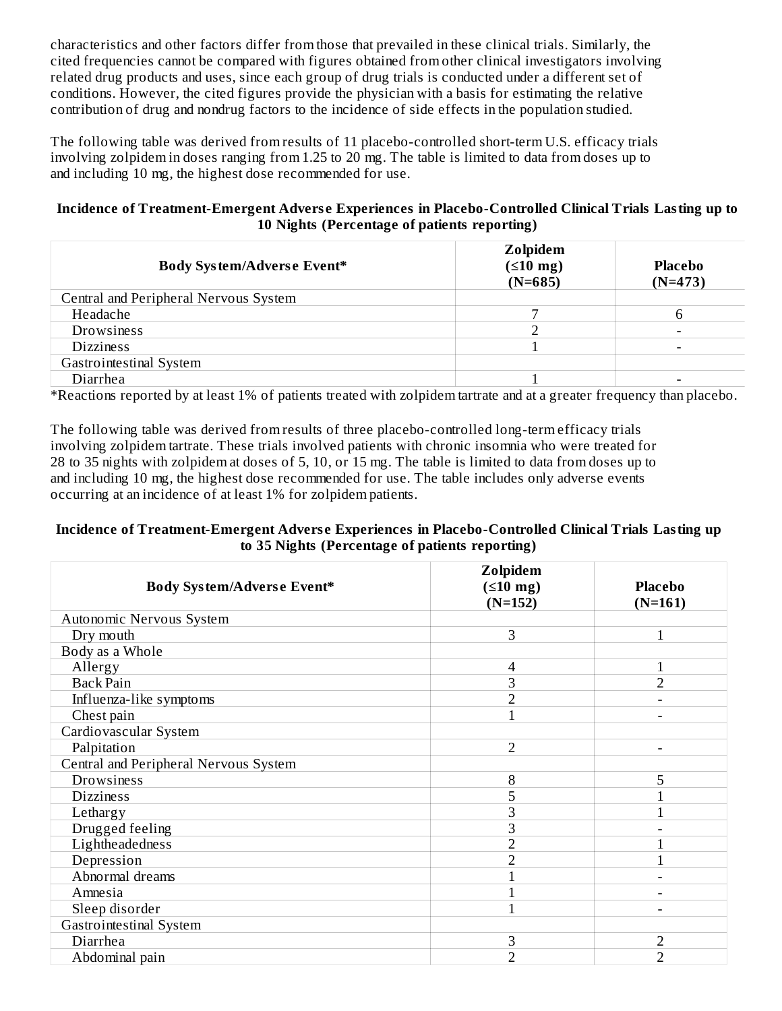characteristics and other factors differ from those that prevailed in these clinical trials. Similarly, the cited frequencies cannot be compared with figures obtained from other clinical investigators involving related drug products and uses, since each group of drug trials is conducted under a different set of conditions. However, the cited figures provide the physician with a basis for estimating the relative contribution of drug and nondrug factors to the incidence of side effects in the population studied.

The following table was derived from results of 11 placebo-controlled short-term U.S. efficacy trials involving zolpidem in doses ranging from 1.25 to 20 mg. The table is limited to data from doses up to and including 10 mg, the highest dose recommended for use.

#### **Incidence of Treatment-Emergent Advers e Experiences in Placebo-Controlled Clinical Trials Lasting up to 10 Nights (Percentage of patients reporting)**

| <b>Body System/Adverse Event*</b>     | Zolpidem<br>$(510 \text{ mg})$<br>$(N=685)$ | Placebo<br>$(N=473)$ |
|---------------------------------------|---------------------------------------------|----------------------|
| Central and Peripheral Nervous System |                                             |                      |
| Headache                              |                                             |                      |
| Drowsiness                            |                                             |                      |
| <b>Dizziness</b>                      |                                             |                      |
| Gastrointestinal System               |                                             |                      |
| Diarrhea                              |                                             |                      |

\*Reactions reported by at least 1% of patients treated with zolpidem tartrate and at a greater frequency than placebo.

The following table was derived from results of three placebo-controlled long-term efficacy trials involving zolpidem tartrate. These trials involved patients with chronic insomnia who were treated for 28 to 35 nights with zolpidem at doses of 5, 10, or 15 mg. The table is limited to data from doses up to and including 10 mg, the highest dose recommended for use. The table includes only adverse events occurring at an incidence of at least 1% for zolpidem patients.

#### **Incidence of Treatment-Emergent Advers e Experiences in Placebo-Controlled Clinical Trials Lasting up to 35 Nights (Percentage of patients reporting)**

| Body System/Adverse Event*            | Zolpidem<br>$(510 \text{ mg})$<br>$(N=152)$ | <b>Placebo</b><br>$(N=161)$ |
|---------------------------------------|---------------------------------------------|-----------------------------|
| Autonomic Nervous System              |                                             |                             |
| Dry mouth                             | 3                                           |                             |
| Body as a Whole                       |                                             |                             |
| Allergy                               | 4                                           |                             |
| <b>Back Pain</b>                      | 3                                           | $\overline{2}$              |
| Influenza-like symptoms               | 2                                           |                             |
| Chest pain                            |                                             |                             |
| Cardiovascular System                 |                                             |                             |
| Palpitation                           | 2                                           |                             |
| Central and Peripheral Nervous System |                                             |                             |
| Drowsiness                            | 8                                           | 5                           |
| <b>Dizziness</b>                      | 5                                           |                             |
| Lethargy                              | 3                                           |                             |
| Drugged feeling                       | 3                                           |                             |
| Lightheadedness                       | $\overline{2}$                              |                             |
| Depression                            | $\overline{2}$                              |                             |
| Abnormal dreams                       |                                             | $\overline{\phantom{0}}$    |
| Amnesia                               |                                             |                             |
| Sleep disorder                        |                                             |                             |
| Gastrointestinal System               |                                             |                             |
| Diarrhea                              | 3                                           | $\overline{2}$              |
| Abdominal pain                        | $\overline{2}$                              | $\overline{2}$              |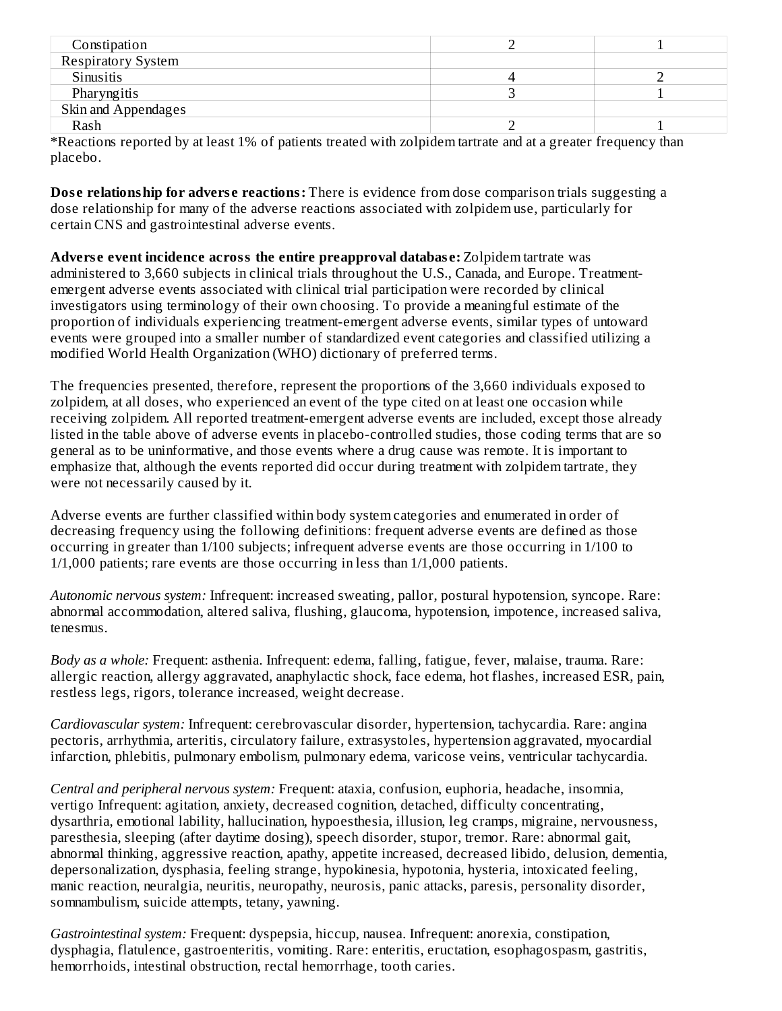| Constipation              |  |
|---------------------------|--|
| <b>Respiratory System</b> |  |
| Sinusitis                 |  |
| Pharyngitis               |  |
| Skin and Appendages       |  |
| Rash                      |  |

\*Reactions reported by at least 1% of patients treated with zolpidem tartrate and at a greater frequency than placebo.

**Dos e relationship for advers e reactions:** There is evidence from dose comparison trials suggesting a dose relationship for many of the adverse reactions associated with zolpidem use, particularly for certain CNS and gastrointestinal adverse events.

**Advers e event incidence across the entire preapproval databas e:** Zolpidem tartrate was administered to 3,660 subjects in clinical trials throughout the U.S., Canada, and Europe. Treatmentemergent adverse events associated with clinical trial participation were recorded by clinical investigators using terminology of their own choosing. To provide a meaningful estimate of the proportion of individuals experiencing treatment-emergent adverse events, similar types of untoward events were grouped into a smaller number of standardized event categories and classified utilizing a modified World Health Organization (WHO) dictionary of preferred terms.

The frequencies presented, therefore, represent the proportions of the 3,660 individuals exposed to zolpidem, at all doses, who experienced an event of the type cited on at least one occasion while receiving zolpidem. All reported treatment-emergent adverse events are included, except those already listed in the table above of adverse events in placebo-controlled studies, those coding terms that are so general as to be uninformative, and those events where a drug cause was remote. It is important to emphasize that, although the events reported did occur during treatment with zolpidem tartrate, they were not necessarily caused by it.

Adverse events are further classified within body system categories and enumerated in order of decreasing frequency using the following definitions: frequent adverse events are defined as those occurring in greater than 1/100 subjects; infrequent adverse events are those occurring in 1/100 to 1/1,000 patients; rare events are those occurring in less than 1/1,000 patients.

*Autonomic nervous system:* Infrequent: increased sweating, pallor, postural hypotension, syncope. Rare: abnormal accommodation, altered saliva, flushing, glaucoma, hypotension, impotence, increased saliva, tenesmus.

*Body as a whole:* Frequent: asthenia. Infrequent: edema, falling, fatigue, fever, malaise, trauma. Rare: allergic reaction, allergy aggravated, anaphylactic shock, face edema, hot flashes, increased ESR, pain, restless legs, rigors, tolerance increased, weight decrease.

*Cardiovascular system:* Infrequent: cerebrovascular disorder, hypertension, tachycardia. Rare: angina pectoris, arrhythmia, arteritis, circulatory failure, extrasystoles, hypertension aggravated, myocardial infarction, phlebitis, pulmonary embolism, pulmonary edema, varicose veins, ventricular tachycardia.

*Central and peripheral nervous system:* Frequent: ataxia, confusion, euphoria, headache, insomnia, vertigo Infrequent: agitation, anxiety, decreased cognition, detached, difficulty concentrating, dysarthria, emotional lability, hallucination, hypoesthesia, illusion, leg cramps, migraine, nervousness, paresthesia, sleeping (after daytime dosing), speech disorder, stupor, tremor. Rare: abnormal gait, abnormal thinking, aggressive reaction, apathy, appetite increased, decreased libido, delusion, dementia, depersonalization, dysphasia, feeling strange, hypokinesia, hypotonia, hysteria, intoxicated feeling, manic reaction, neuralgia, neuritis, neuropathy, neurosis, panic attacks, paresis, personality disorder, somnambulism, suicide attempts, tetany, yawning.

*Gastrointestinal system:* Frequent: dyspepsia, hiccup, nausea. Infrequent: anorexia, constipation, dysphagia, flatulence, gastroenteritis, vomiting. Rare: enteritis, eructation, esophagospasm, gastritis, hemorrhoids, intestinal obstruction, rectal hemorrhage, tooth caries.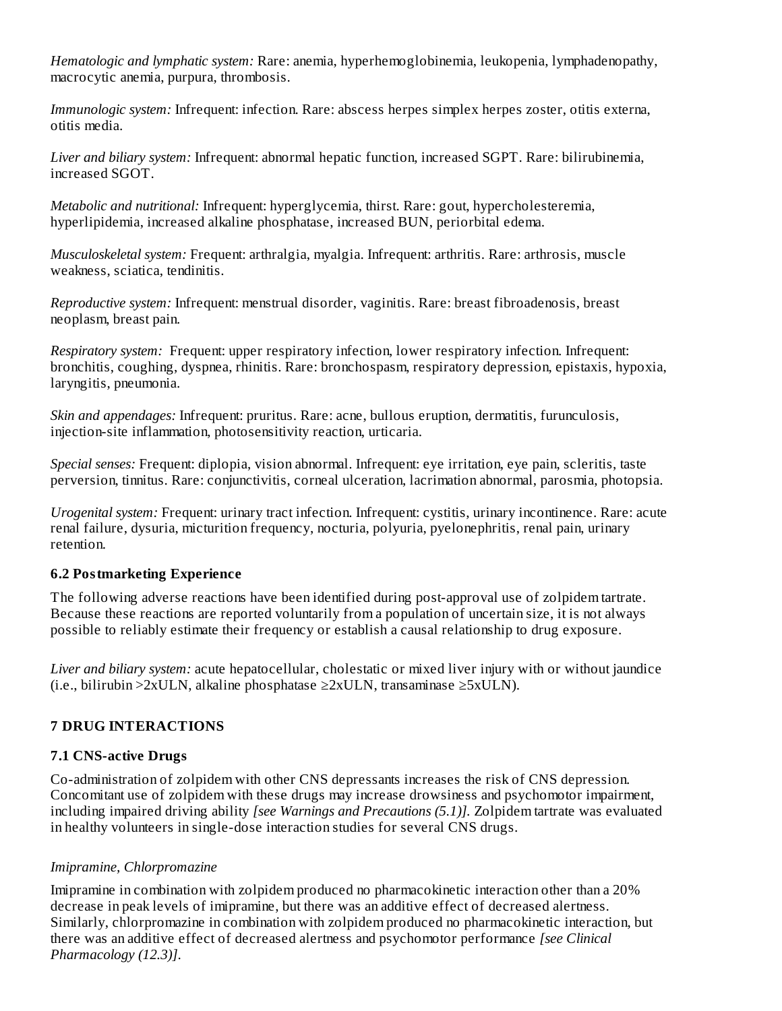*Hematologic and lymphatic system:* Rare: anemia, hyperhemoglobinemia, leukopenia, lymphadenopathy, macrocytic anemia, purpura, thrombosis.

*Immunologic system:* Infrequent: infection. Rare: abscess herpes simplex herpes zoster, otitis externa, otitis media.

*Liver and biliary system:* Infrequent: abnormal hepatic function, increased SGPT. Rare: bilirubinemia, increased SGOT.

*Metabolic and nutritional:* Infrequent: hyperglycemia, thirst. Rare: gout, hypercholesteremia, hyperlipidemia, increased alkaline phosphatase, increased BUN, periorbital edema.

*Musculoskeletal system:* Frequent: arthralgia, myalgia. Infrequent: arthritis. Rare: arthrosis, muscle weakness, sciatica, tendinitis.

*Reproductive system:* Infrequent: menstrual disorder, vaginitis. Rare: breast fibroadenosis, breast neoplasm, breast pain.

*Respiratory system:* Frequent: upper respiratory infection, lower respiratory infection. Infrequent: bronchitis, coughing, dyspnea, rhinitis. Rare: bronchospasm, respiratory depression, epistaxis, hypoxia, laryngitis, pneumonia.

*Skin and appendages:* Infrequent: pruritus. Rare: acne, bullous eruption, dermatitis, furunculosis, injection-site inflammation, photosensitivity reaction, urticaria.

*Special senses:* Frequent: diplopia, vision abnormal. Infrequent: eye irritation, eye pain, scleritis, taste perversion, tinnitus. Rare: conjunctivitis, corneal ulceration, lacrimation abnormal, parosmia, photopsia.

*Urogenital system:* Frequent: urinary tract infection. Infrequent: cystitis, urinary incontinence. Rare: acute renal failure, dysuria, micturition frequency, nocturia, polyuria, pyelonephritis, renal pain, urinary retention.

#### **6.2 Postmarketing Experience**

The following adverse reactions have been identified during post-approval use of zolpidem tartrate. Because these reactions are reported voluntarily from a population of uncertain size, it is not always possible to reliably estimate their frequency or establish a causal relationship to drug exposure.

*Liver and biliary system:* acute hepatocellular, cholestatic or mixed liver injury with or without jaundice (i.e., bilirubin >2xULN, alkaline phosphatase ≥2xULN, transaminase ≥5xULN).

#### **7 DRUG INTERACTIONS**

#### **7.1 CNS-active Drugs**

Co-administration of zolpidem with other CNS depressants increases the risk of CNS depression. Concomitant use of zolpidem with these drugs may increase drowsiness and psychomotor impairment, including impaired driving ability *[see Warnings and Precautions (5.1)].* Zolpidem tartrate was evaluated in healthy volunteers in single-dose interaction studies for several CNS drugs.

#### *Imipramine, Chlorpromazine*

Imipramine in combination with zolpidem produced no pharmacokinetic interaction other than a 20% decrease in peak levels of imipramine, but there was an additive effect of decreased alertness. Similarly, chlorpromazine in combination with zolpidem produced no pharmacokinetic interaction, but there was an additive effect of decreased alertness and psychomotor performance *[see Clinical Pharmacology (12.3)]*.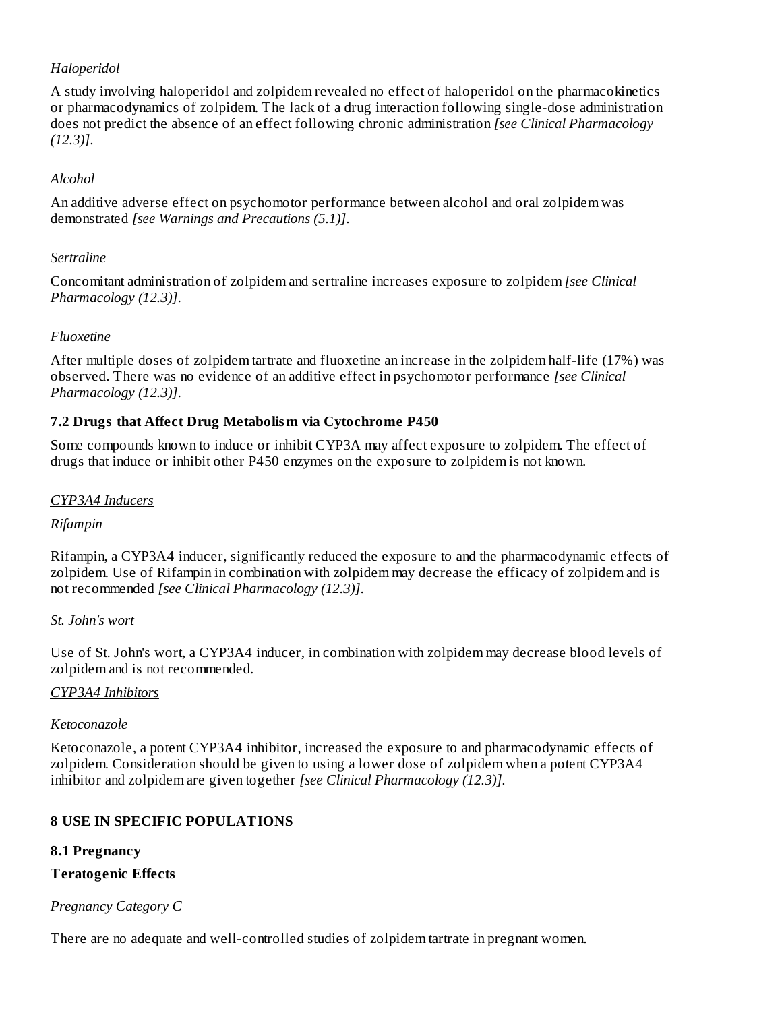### *Haloperidol*

A study involving haloperidol and zolpidem revealed no effect of haloperidol on the pharmacokinetics or pharmacodynamics of zolpidem. The lack of a drug interaction following single-dose administration does not predict the absence of an effect following chronic administration *[see Clinical Pharmacology (12.3)]*.

### *Alcohol*

An additive adverse effect on psychomotor performance between alcohol and oral zolpidem was demonstrated *[see Warnings and Precautions (5.1)]*.

### *Sertraline*

Concomitant administration of zolpidem and sertraline increases exposure to zolpidem *[see Clinical Pharmacology (12.3)]*.

### *Fluoxetine*

After multiple doses of zolpidem tartrate and fluoxetine an increase in the zolpidem half-life (17%) was observed. There was no evidence of an additive effect in psychomotor performance *[see Clinical Pharmacology (12.3)]*.

### **7.2 Drugs that Affect Drug Metabolism via Cytochrome P450**

Some compounds known to induce or inhibit CYP3A may affect exposure to zolpidem. The effect of drugs that induce or inhibit other P450 enzymes on the exposure to zolpidem is not known.

### *CYP3A4 Inducers*

#### *Rifampin*

Rifampin, a CYP3A4 inducer, significantly reduced the exposure to and the pharmacodynamic effects of zolpidem. Use of Rifampin in combination with zolpidem may decrease the efficacy of zolpidem and is not recommended *[see Clinical Pharmacology (12.3)]*.

#### *St. John's wort*

Use of St. John's wort, a CYP3A4 inducer, in combination with zolpidem may decrease blood levels of zolpidem and is not recommended.

#### *CYP3A4 Inhibitors*

#### *Ketoconazole*

Ketoconazole, a potent CYP3A4 inhibitor, increased the exposure to and pharmacodynamic effects of zolpidem. Consideration should be given to using a lower dose of zolpidem when a potent CYP3A4 inhibitor and zolpidem are given together *[see Clinical Pharmacology (12.3)]*.

### **8 USE IN SPECIFIC POPULATIONS**

### **8.1 Pregnancy**

### **Teratogenic Effects**

### *Pregnancy Category C*

There are no adequate and well-controlled studies of zolpidem tartrate in pregnant women.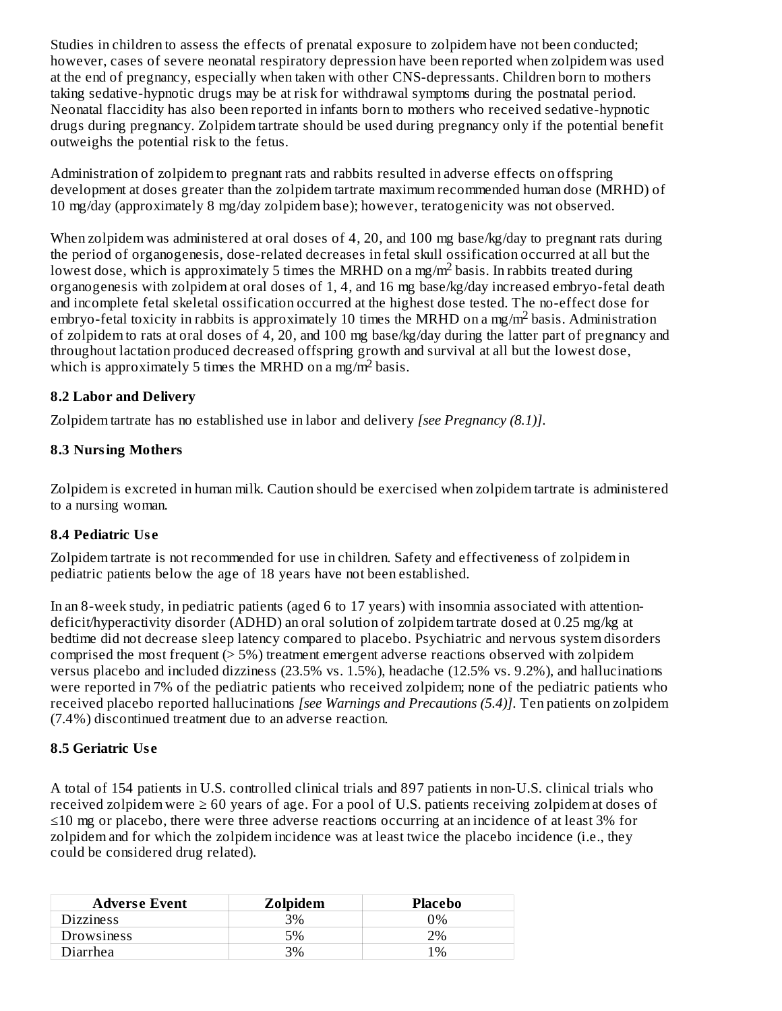Studies in children to assess the effects of prenatal exposure to zolpidem have not been conducted; however, cases of severe neonatal respiratory depression have been reported when zolpidem was used at the end of pregnancy, especially when taken with other CNS-depressants. Children born to mothers taking sedative-hypnotic drugs may be at risk for withdrawal symptoms during the postnatal period. Neonatal flaccidity has also been reported in infants born to mothers who received sedative-hypnotic drugs during pregnancy. Zolpidem tartrate should be used during pregnancy only if the potential benefit outweighs the potential risk to the fetus.

Administration of zolpidem to pregnant rats and rabbits resulted in adverse effects on offspring development at doses greater than the zolpidem tartrate maximum recommended human dose (MRHD) of 10 mg/day (approximately 8 mg/day zolpidem base); however, teratogenicity was not observed.

When zolpidem was administered at oral doses of 4, 20, and 100 mg base/kg/day to pregnant rats during the period of organogenesis, dose-related decreases in fetal skull ossification occurred at all but the lowest dose, which is approximately 5 times the MRHD on a mg/m<sup>2</sup> basis. In rabbits treated during organogenesis with zolpidem at oral doses of 1, 4, and 16 mg base/kg/day increased embryo-fetal death and incomplete fetal skeletal ossification occurred at the highest dose tested. The no-effect dose for embryo-fetal toxicity in rabbits is approximately 10 times the MRHD on a mg/m<sup>2</sup> basis. Administration of zolpidem to rats at oral doses of 4, 20, and 100 mg base/kg/day during the latter part of pregnancy and throughout lactation produced decreased offspring growth and survival at all but the lowest dose, which is approximately 5 times the MRHD on a mg/m<sup>2</sup> basis.

### **8.2 Labor and Delivery**

Zolpidem tartrate has no established use in labor and delivery *[see Pregnancy (8.1)]*.

#### **8.3 Nursing Mothers**

Zolpidem is excreted in human milk. Caution should be exercised when zolpidem tartrate is administered to a nursing woman.

#### **8.4 Pediatric Us e**

Zolpidem tartrate is not recommended for use in children. Safety and effectiveness of zolpidem in pediatric patients below the age of 18 years have not been established.

In an 8-week study, in pediatric patients (aged 6 to 17 years) with insomnia associated with attentiondeficit/hyperactivity disorder (ADHD) an oral solution of zolpidem tartrate dosed at 0.25 mg/kg at bedtime did not decrease sleep latency compared to placebo. Psychiatric and nervous system disorders comprised the most frequent (> 5%) treatment emergent adverse reactions observed with zolpidem versus placebo and included dizziness (23.5% vs. 1.5%), headache (12.5% vs. 9.2%), and hallucinations were reported in 7% of the pediatric patients who received zolpidem; none of the pediatric patients who received placebo reported hallucinations *[see Warnings and Precautions (5.4)]*. Ten patients on zolpidem (7.4%) discontinued treatment due to an adverse reaction.

#### **8.5 Geriatric Us e**

A total of 154 patients in U.S. controlled clinical trials and 897 patients in non-U.S. clinical trials who received zolpidem were  $\geq 60$  years of age. For a pool of U.S. patients receiving zolpidem at doses of ≤10 mg or placebo, there were three adverse reactions occurring at an incidence of at least 3% for zolpidem and for which the zolpidem incidence was at least twice the placebo incidence (i.e., they could be considered drug related).

| <b>Adverse Event</b> | Zolpidem | Placebo |
|----------------------|----------|---------|
| Dizziness            | 3%       | ገ%      |
| Drowsiness           | $5\%$    | פי $\%$ |
| <b>Diarrhea</b>      | 3%       | 1%      |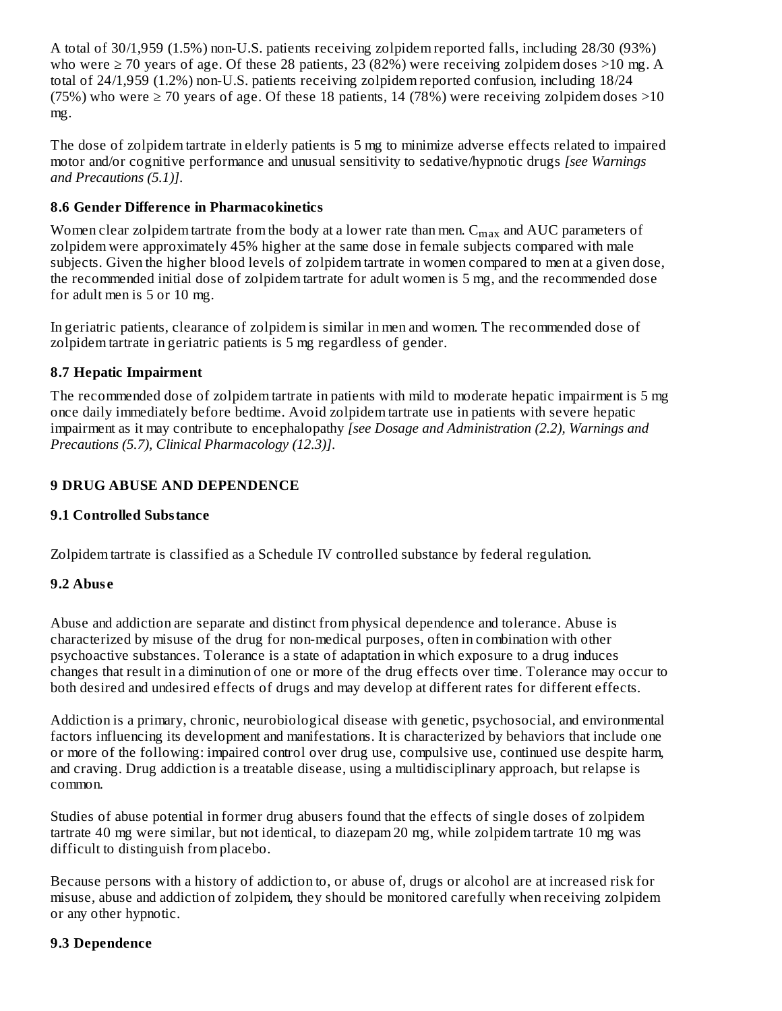A total of 30/1,959 (1.5%) non-U.S. patients receiving zolpidem reported falls, including 28/30 (93%) who were  $\geq$  70 years of age. Of these 28 patients, 23 (82%) were receiving zolpidem doses >10 mg. A total of 24/1,959 (1.2%) non-U.S. patients receiving zolpidem reported confusion, including 18/24 (75%) who were  $\geq$  70 years of age. Of these 18 patients, 14 (78%) were receiving zolpidem doses >10 mg.

The dose of zolpidem tartrate in elderly patients is 5 mg to minimize adverse effects related to impaired motor and/or cognitive performance and unusual sensitivity to sedative/hypnotic drugs *[see Warnings and Precautions (5.1)]*.

### **8.6 Gender Difference in Pharmacokinetics**

Women clear zolpidem tartrate from the body at a lower rate than men.  $\rm{C_{max}}$  and  $\rm{AUC}$  parameters of zolpidem were approximately 45% higher at the same dose in female subjects compared with male subjects. Given the higher blood levels of zolpidem tartrate in women compared to men at a given dose, the recommended initial dose of zolpidem tartrate for adult women is 5 mg, and the recommended dose for adult men is 5 or 10 mg.

In geriatric patients, clearance of zolpidem is similar in men and women. The recommended dose of zolpidem tartrate in geriatric patients is 5 mg regardless of gender.

### **8.7 Hepatic Impairment**

The recommended dose of zolpidem tartrate in patients with mild to moderate hepatic impairment is 5 mg once daily immediately before bedtime. Avoid zolpidem tartrate use in patients with severe hepatic impairment as it may contribute to encephalopathy *[see Dosage and Administration (2.2), Warnings and Precautions (5.7), Clinical Pharmacology (12.3)]*.

### **9 DRUG ABUSE AND DEPENDENCE**

#### **9.1 Controlled Substance**

Zolpidem tartrate is classified as a Schedule IV controlled substance by federal regulation.

#### **9.2 Abus e**

Abuse and addiction are separate and distinct from physical dependence and tolerance. Abuse is characterized by misuse of the drug for non-medical purposes, often in combination with other psychoactive substances. Tolerance is a state of adaptation in which exposure to a drug induces changes that result in a diminution of one or more of the drug effects over time. Tolerance may occur to both desired and undesired effects of drugs and may develop at different rates for different effects.

Addiction is a primary, chronic, neurobiological disease with genetic, psychosocial, and environmental factors influencing its development and manifestations. It is characterized by behaviors that include one or more of the following: impaired control over drug use, compulsive use, continued use despite harm, and craving. Drug addiction is a treatable disease, using a multidisciplinary approach, but relapse is common.

Studies of abuse potential in former drug abusers found that the effects of single doses of zolpidem tartrate 40 mg were similar, but not identical, to diazepam 20 mg, while zolpidem tartrate 10 mg was difficult to distinguish from placebo.

Because persons with a history of addiction to, or abuse of, drugs or alcohol are at increased risk for misuse, abuse and addiction of zolpidem, they should be monitored carefully when receiving zolpidem or any other hypnotic.

#### **9.3 Dependence**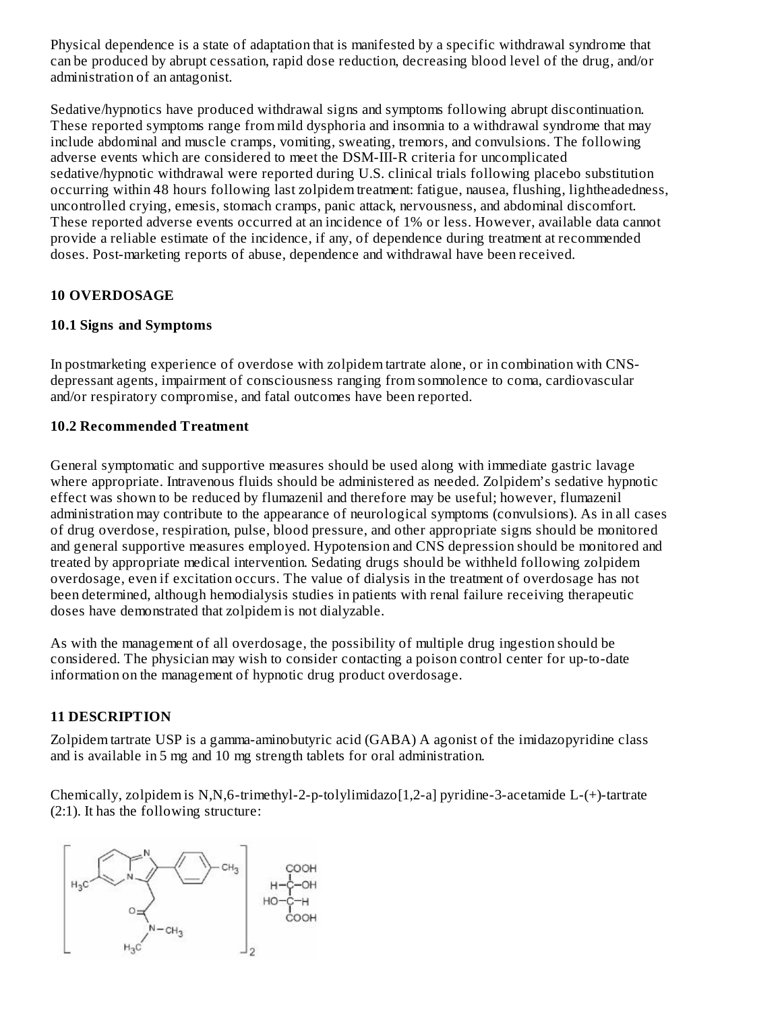Physical dependence is a state of adaptation that is manifested by a specific withdrawal syndrome that can be produced by abrupt cessation, rapid dose reduction, decreasing blood level of the drug, and/or administration of an antagonist.

Sedative/hypnotics have produced withdrawal signs and symptoms following abrupt discontinuation. These reported symptoms range from mild dysphoria and insomnia to a withdrawal syndrome that may include abdominal and muscle cramps, vomiting, sweating, tremors, and convulsions. The following adverse events which are considered to meet the DSM-III-R criteria for uncomplicated sedative/hypnotic withdrawal were reported during U.S. clinical trials following placebo substitution occurring within 48 hours following last zolpidem treatment: fatigue, nausea, flushing, lightheadedness, uncontrolled crying, emesis, stomach cramps, panic attack, nervousness, and abdominal discomfort. These reported adverse events occurred at an incidence of 1% or less. However, available data cannot provide a reliable estimate of the incidence, if any, of dependence during treatment at recommended doses. Post-marketing reports of abuse, dependence and withdrawal have been received.

#### **10 OVERDOSAGE**

#### **10.1 Signs and Symptoms**

In postmarketing experience of overdose with zolpidem tartrate alone, or in combination with CNSdepressant agents, impairment of consciousness ranging from somnolence to coma, cardiovascular and/or respiratory compromise, and fatal outcomes have been reported.

#### **10.2 Recommended Treatment**

General symptomatic and supportive measures should be used along with immediate gastric lavage where appropriate. Intravenous fluids should be administered as needed. Zolpidem's sedative hypnotic effect was shown to be reduced by flumazenil and therefore may be useful; however, flumazenil administration may contribute to the appearance of neurological symptoms (convulsions). As in all cases of drug overdose, respiration, pulse, blood pressure, and other appropriate signs should be monitored and general supportive measures employed. Hypotension and CNS depression should be monitored and treated by appropriate medical intervention. Sedating drugs should be withheld following zolpidem overdosage, even if excitation occurs. The value of dialysis in the treatment of overdosage has not been determined, although hemodialysis studies in patients with renal failure receiving therapeutic doses have demonstrated that zolpidem is not dialyzable.

As with the management of all overdosage, the possibility of multiple drug ingestion should be considered. The physician may wish to consider contacting a poison control center for up-to-date information on the management of hypnotic drug product overdosage.

#### **11 DESCRIPTION**

Zolpidem tartrate USP is a gamma-aminobutyric acid (GABA) A agonist of the imidazopyridine class and is available in 5 mg and 10 mg strength tablets for oral administration.

Chemically, zolpidem is N,N,6-trimethyl-2-p-tolylimidazo[1,2-a] pyridine-3-acetamide L-(+)-tartrate (2:1). It has the following structure:

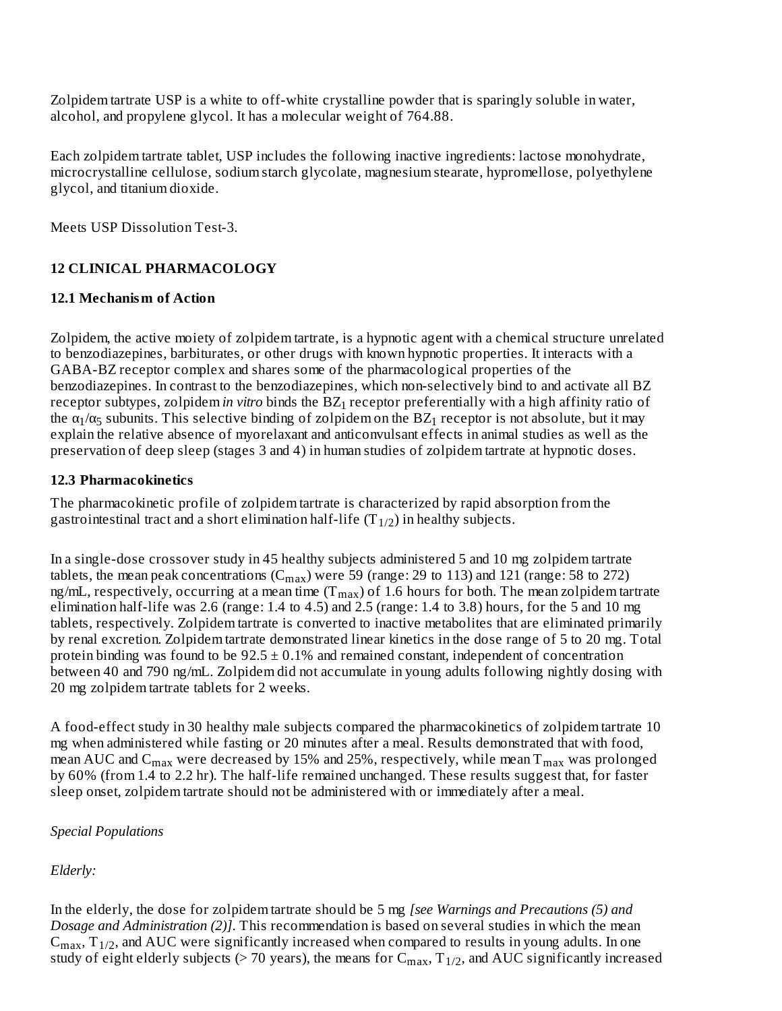Zolpidem tartrate USP is a white to off-white crystalline powder that is sparingly soluble in water, alcohol, and propylene glycol. It has a molecular weight of 764.88.

Each zolpidem tartrate tablet, USP includes the following inactive ingredients: lactose monohydrate, microcrystalline cellulose, sodium starch glycolate, magnesium stearate, hypromellose, polyethylene glycol, and titanium dioxide.

Meets USP Dissolution Test-3.

### **12 CLINICAL PHARMACOLOGY**

### **12.1 Mechanism of Action**

Zolpidem, the active moiety of zolpidem tartrate, is a hypnotic agent with a chemical structure unrelated to benzodiazepines, barbiturates, or other drugs with known hypnotic properties. It interacts with a GABA-BZ receptor complex and shares some of the pharmacological properties of the benzodiazepines. In contrast to the benzodiazepines, which non-selectively bind to and activate all BZ receptor subtypes, zolpidem*in vitro* binds the  $BZ_1$  receptor preferentially with a high affinity ratio of the  $\alpha_1/\alpha_5$  subunits. This selective binding of zolpidem on the BZ<sub>1</sub> receptor is not absolute, but it may explain the relative absence of myorelaxant and anticonvulsant effects in animal studies as well as the preservation of deep sleep (stages 3 and 4) in human studies of zolpidem tartrate at hypnotic doses.

### **12.3 Pharmacokinetics**

The pharmacokinetic profile of zolpidem tartrate is characterized by rapid absorption from the gastrointestinal tract and a short elimination half-life (T $_{\rm 1/2})$  in healthy subjects.

In a single-dose crossover study in 45 healthy subjects administered 5 and 10 mg zolpidem tartrate tablets, the mean peak concentrations  $(C_{max})$  were 59 (range: 29 to 113) and 121 (range: 58 to 272) ng/mL, respectively, occurring at a mean time (T $_{\rm max}$ ) of 1.6 hours for both. The mean zolpidem tartrate elimination half-life was 2.6 (range: 1.4 to 4.5) and 2.5 (range: 1.4 to 3.8) hours, for the 5 and 10 mg tablets, respectively. Zolpidem tartrate is converted to inactive metabolites that are eliminated primarily by renal excretion. Zolpidem tartrate demonstrated linear kinetics in the dose range of 5 to 20 mg. Total protein binding was found to be  $92.5 \pm 0.1\%$  and remained constant, independent of concentration between 40 and 790 ng/mL. Zolpidem did not accumulate in young adults following nightly dosing with 20 mg zolpidem tartrate tablets for 2 weeks.

A food-effect study in 30 healthy male subjects compared the pharmacokinetics of zolpidem tartrate 10 mg when administered while fasting or 20 minutes after a meal. Results demonstrated that with food, mean AUC and  $\rm{C_{max}}$  were decreased by 15% and 25%, respectively, while mean  $\rm{T_{max}}$  was prolonged by 60% (from 1.4 to 2.2 hr). The half-life remained unchanged. These results suggest that, for faster sleep onset, zolpidem tartrate should not be administered with or immediately after a meal.

### *Special Populations*

### *Elderly:*

In the elderly, the dose for zolpidem tartrate should be 5 mg *[see Warnings and Precautions (5) and Dosage and Administration (2)]*. This recommendation is based on several studies in which the mean  $C_{max}$ ,  $T_{1/2}$ , and AUC were significantly increased when compared to results in young adults. In one study of eight elderly subjects (> 70 years), the means for  $C_{max}$ ,  $T_{1/2}$ , and AUC significantly increased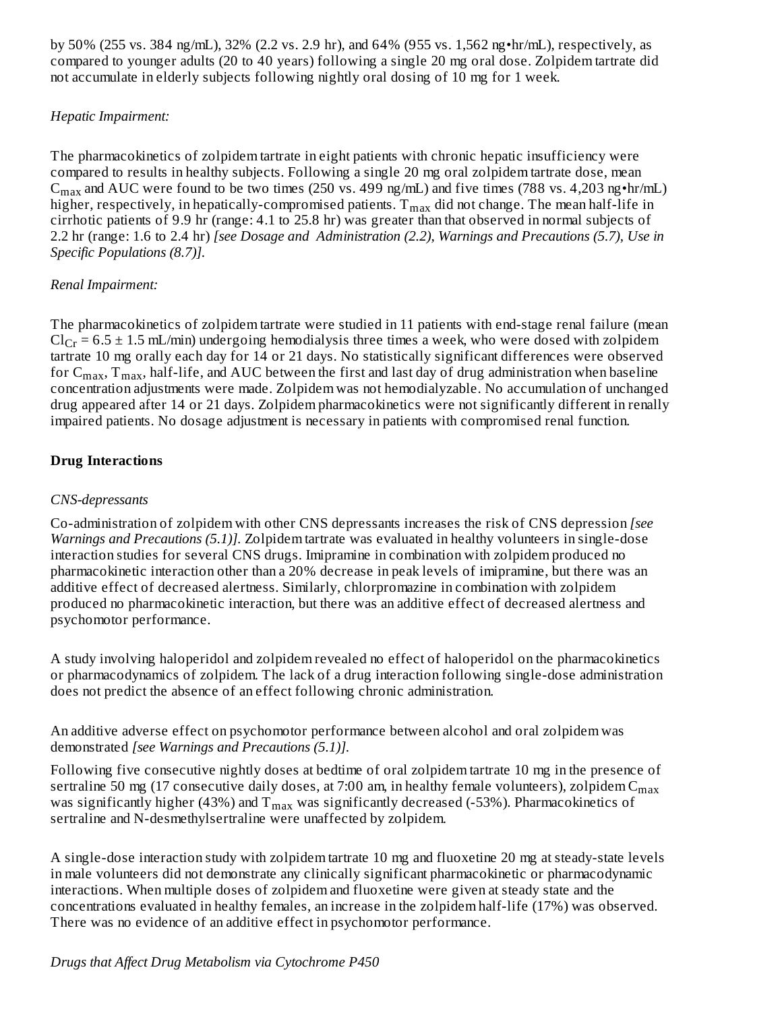by 50% (255 vs. 384 ng/mL), 32% (2.2 vs. 2.9 hr), and 64% (955 vs. 1,562 ng•hr/mL), respectively, as compared to younger adults (20 to 40 years) following a single 20 mg oral dose. Zolpidem tartrate did not accumulate in elderly subjects following nightly oral dosing of 10 mg for 1 week. max 1/2

### *Hepatic Impairment:*

The pharmacokinetics of zolpidem tartrate in eight patients with chronic hepatic insufficiency were compared to results in healthy subjects. Following a single 20 mg oral zolpidem tartrate dose, mean  $C_{max}$  and AUC were found to be two times (250 vs. 499 ng/mL) and five times (788 vs. 4,203 ng•hr/mL) higher, respectively, in hepatically-compromised patients.  $\texttt{T}_{\max}$  did not change. The mean half-life in cirrhotic patients of 9.9 hr (range: 4.1 to 25.8 hr) was greater than that observed in normal subjects of 2.2 hr (range: 1.6 to 2.4 hr) *[see Dosage and Administration (2.2), Warnings and Precautions (5.7), Use in Specific Populations (8.7)].*

### *Renal Impairment:*

The pharmacokinetics of zolpidem tartrate were studied in 11 patients with end-stage renal failure (mean  $Cl_{Cr}$  = 6.5  $\pm$  1.5 mL/min) undergoing hemodialysis three times a week, who were dosed with zolpidem tartrate 10 mg orally each day for 14 or 21 days. No statistically significant differences were observed for  $\rm C_{max},$   $\rm T_{max},$  half-life, and AUC between the first and last day of drug administration when baseline concentration adjustments were made. Zolpidem was not hemodialyzable. No accumulation of unchanged drug appeared after 14 or 21 days. Zolpidem pharmacokinetics were not significantly different in renally impaired patients. No dosage adjustment is necessary in patients with compromised renal function.

### **Drug Interactions**

### *CNS-depressants*

Co-administration of zolpidem with other CNS depressants increases the risk of CNS depression *[see Warnings and Precautions (5.1)].* Zolpidem tartrate was evaluated in healthy volunteers in single-dose interaction studies for several CNS drugs. Imipramine in combination with zolpidem produced no pharmacokinetic interaction other than a 20% decrease in peak levels of imipramine, but there was an additive effect of decreased alertness. Similarly, chlorpromazine in combination with zolpidem produced no pharmacokinetic interaction, but there was an additive effect of decreased alertness and psychomotor performance.

A study involving haloperidol and zolpidem revealed no effect of haloperidol on the pharmacokinetics or pharmacodynamics of zolpidem. The lack of a drug interaction following single-dose administration does not predict the absence of an effect following chronic administration.

An additive adverse effect on psychomotor performance between alcohol and oral zolpidem was demonstrated *[see Warnings and Precautions (5.1)].*

Following five consecutive nightly doses at bedtime of oral zolpidem tartrate 10 mg in the presence of sertraline 50 mg (17 consecutive daily doses, at 7:00 am, in healthy female volunteers), zolpidem  $\mathsf{C}_{\max}$ was significantly higher (43%) and  $\rm T_{max}$  was significantly decreased (-53%). Pharmacokinetics of sertraline and N-desmethylsertraline were unaffected by zolpidem.

A single-dose interaction study with zolpidem tartrate 10 mg and fluoxetine 20 mg at steady-state levels in male volunteers did not demonstrate any clinically significant pharmacokinetic or pharmacodynamic interactions. When multiple doses of zolpidem and fluoxetine were given at steady state and the concentrations evaluated in healthy females, an increase in the zolpidem half-life (17%) was observed. There was no evidence of an additive effect in psychomotor performance.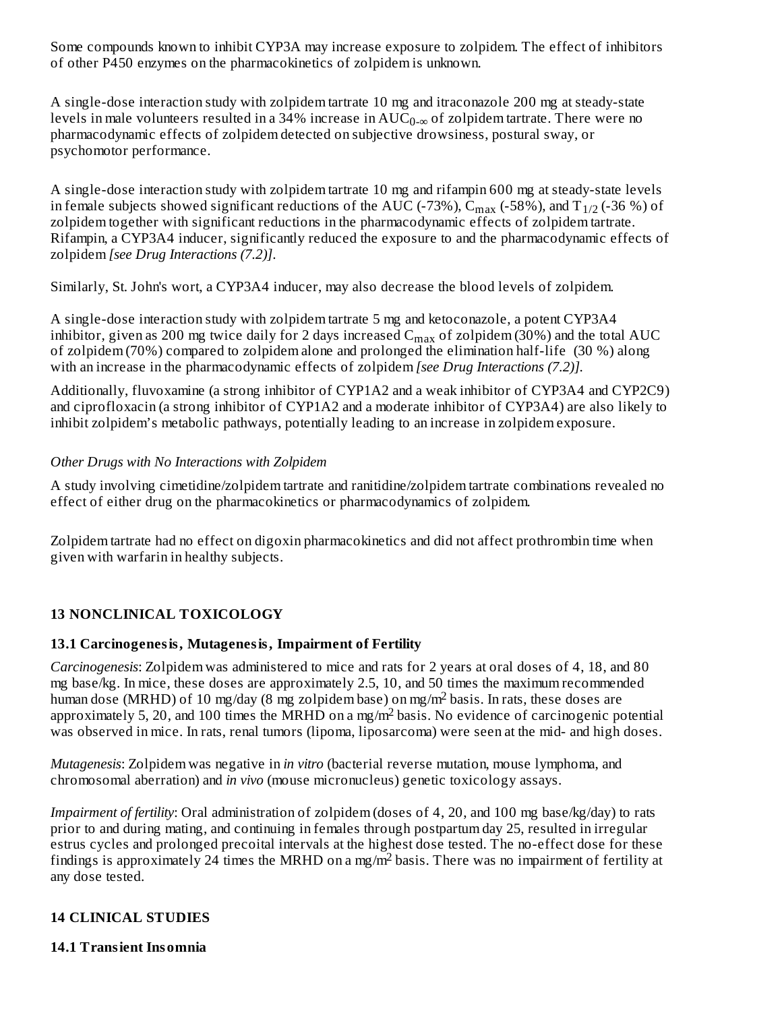Some compounds known to inhibit CYP3A may increase exposure to zolpidem. The effect of inhibitors of other P450 enzymes on the pharmacokinetics of zolpidem is unknown.

A single-dose interaction study with zolpidem tartrate 10 mg and itraconazole 200 mg at steady-state levels in male volunteers resulted in a 34% increase in  $\mathrm{AUC}_{0-\infty}$  of zolpidem tartrate. There were no pharmacodynamic effects of zolpidem detected on subjective drowsiness, postural sway, or psychomotor performance.

A single-dose interaction study with zolpidem tartrate 10 mg and rifampin 600 mg at steady-state levels in female subjects showed significant reductions of the AUC (-73%),  $\rm{C_{max}}$  (-58%), and T $_{1/2}$  (-36 %) of zolpidem together with significant reductions in the pharmacodynamic effects of zolpidem tartrate. Rifampin, a CYP3A4 inducer, significantly reduced the exposure to and the pharmacodynamic effects of zolpidem *[see Drug Interactions (7.2)]*.

Similarly, St. John's wort, a CYP3A4 inducer, may also decrease the blood levels of zolpidem.

A single-dose interaction study with zolpidem tartrate 5 mg and ketoconazole, a potent CYP3A4 inhibitor, given as 200 mg twice daily for 2 days increased  $\rm C_{max}$  of zolpidem (30%) and the total  $\rm AUC$ of zolpidem (70%) compared to zolpidem alone and prolonged the elimination half-life (30 %) along with an increase in the pharmacodynamic effects of zolpidem *[see Drug Interactions (7.2)].*

Additionally, fluvoxamine (a strong inhibitor of CYP1A2 and a weak inhibitor of CYP3A4 and CYP2C9) and ciprofloxacin (a strong inhibitor of CYP1A2 and a moderate inhibitor of CYP3A4) are also likely to inhibit zolpidem's metabolic pathways, potentially leading to an increase in zolpidem exposure.

#### *Other Drugs with No Interactions with Zolpidem*

A study involving cimetidine/zolpidem tartrate and ranitidine/zolpidem tartrate combinations revealed no effect of either drug on the pharmacokinetics or pharmacodynamics of zolpidem.

Zolpidem tartrate had no effect on digoxin pharmacokinetics and did not affect prothrombin time when given with warfarin in healthy subjects.

### **13 NONCLINICAL TOXICOLOGY**

#### **13.1 Carcinogenesis, Mutagenesis, Impairment of Fertility**

*Carcinogenesis*: Zolpidem was administered to mice and rats for 2 years at oral doses of 4, 18, and 80 mg base/kg. In mice, these doses are approximately 2.5, 10, and 50 times the maximum recommended human dose (MRHD) of 10 mg/day (8 mg zolpidem base) on mg/m<sup>2</sup> basis. In rats, these doses are approximately 5, 20, and 100 times the MRHD on a mg/m<sup>2</sup> basis. No evidence of carcinogenic potential was observed in mice. In rats, renal tumors (lipoma, liposarcoma) were seen at the mid- and high doses.

*Mutagenesis*: Zolpidem was negative in *in vitro* (bacterial reverse mutation, mouse lymphoma, and chromosomal aberration) and *in vivo* (mouse micronucleus) genetic toxicology assays.

*Impairment of fertility*: Oral administration of zolpidem (doses of 4, 20, and 100 mg base/kg/day) to rats prior to and during mating, and continuing in females through postpartum day 25, resulted in irregular estrus cycles and prolonged precoital intervals at the highest dose tested. The no-effect dose for these findings is approximately 24 times the MRHD on a mg/m<sup>2</sup> basis. There was no impairment of fertility at any dose tested.

### **14 CLINICAL STUDIES**

**14.1 Transient Insomnia**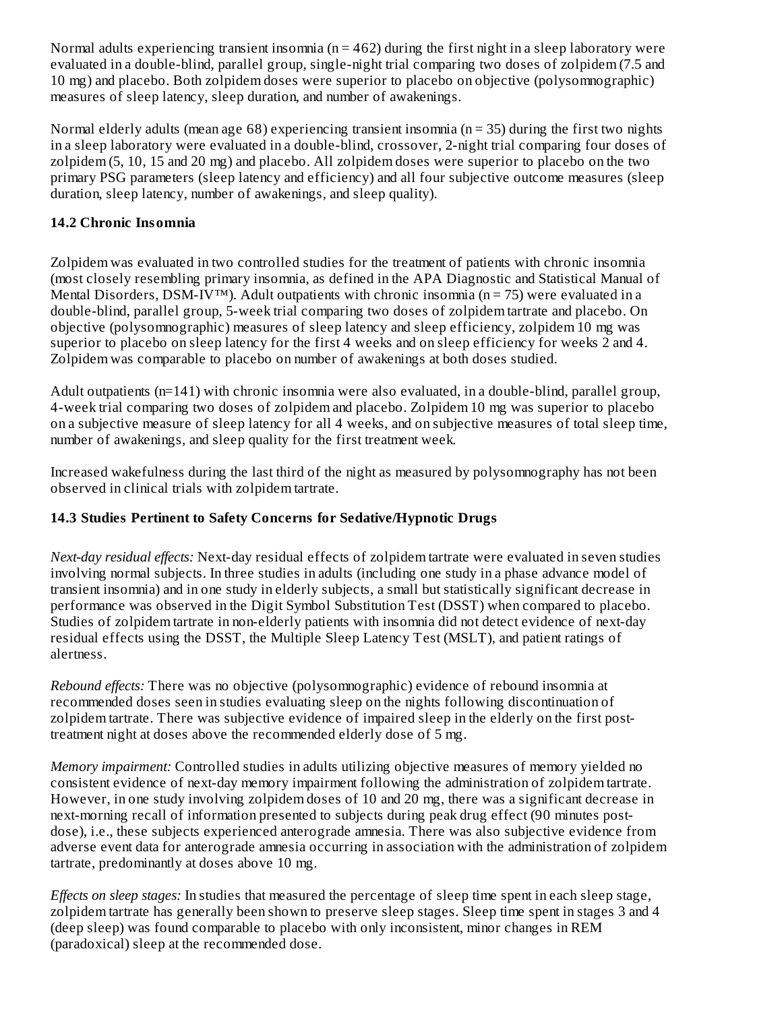Normal adults experiencing transient insomnia ( $n = 462$ ) during the first night in a sleep laboratory were evaluated in a double-blind, parallel group, single-night trial comparing two doses of zolpidem (7.5 and 10 mg) and placebo. Both zolpidem doses were superior to placebo on objective (polysomnographic) measures of sleep latency, sleep duration, and number of awakenings.

Normal elderly adults (mean age 68) experiencing transient insomnia ( $n = 35$ ) during the first two nights in a sleep laboratory were evaluated in a double-blind, crossover, 2-night trial comparing four doses of zolpidem (5, 10, 15 and 20 mg) and placebo. All zolpidem doses were superior to placebo on the two primary PSG parameters (sleep latency and efficiency) and all four subjective outcome measures (sleep duration, sleep latency, number of awakenings, and sleep quality).

### **14.2 Chronic Insomnia**

Zolpidem was evaluated in two controlled studies for the treatment of patients with chronic insomnia (most closely resembling primary insomnia, as defined in the APA Diagnostic and Statistical Manual of Mental Disorders, DSM-IV<sup>™</sup>). Adult outpatients with chronic insomnia (n = 75) were evaluated in a double-blind, parallel group, 5-week trial comparing two doses of zolpidem tartrate and placebo. On objective (polysomnographic) measures of sleep latency and sleep efficiency, zolpidem 10 mg was superior to placebo on sleep latency for the first 4 weeks and on sleep efficiency for weeks 2 and 4. Zolpidem was comparable to placebo on number of awakenings at both doses studied.

Adult outpatients  $(n=141)$  with chronic insomnia were also evaluated, in a double-blind, parallel group, 4-week trial comparing two doses of zolpidem and placebo. Zolpidem 10 mg was superior to placebo on a subjective measure of sleep latency for all 4 weeks, and on subjective measures of total sleep time, number of awakenings, and sleep quality for the first treatment week.

Increased wakefulness during the last third of the night as measured by polysomnography has not been observed in clinical trials with zolpidem tartrate.

### **14.3 Studies Pertinent to Safety Concerns for Sedative/Hypnotic Drugs**

*Next-day residual effects:* Next-day residual effects of zolpidem tartrate were evaluated in seven studies involving normal subjects. In three studies in adults (including one study in a phase advance model of transient insomnia) and in one study in elderly subjects, a small but statistically significant decrease in performance was observed in the Digit Symbol Substitution Test (DSST) when compared to placebo. Studies of zolpidem tartrate in non-elderly patients with insomnia did not detect evidence of next-day residual effects using the DSST, the Multiple Sleep Latency Test (MSLT), and patient ratings of alertness.

*Rebound effects:* There was no objective (polysomnographic) evidence of rebound insomnia at recommended doses seen in studies evaluating sleep on the nights following discontinuation of zolpidem tartrate. There was subjective evidence of impaired sleep in the elderly on the first posttreatment night at doses above the recommended elderly dose of 5 mg.

*Memory impairment:* Controlled studies in adults utilizing objective measures of memory yielded no consistent evidence of next-day memory impairment following the administration of zolpidem tartrate. However, in one study involving zolpidem doses of 10 and 20 mg, there was a significant decrease in next-morning recall of information presented to subjects during peak drug effect (90 minutes postdose), i.e., these subjects experienced anterograde amnesia. There was also subjective evidence from adverse event data for anterograde amnesia occurring in association with the administration of zolpidem tartrate, predominantly at doses above 10 mg.

*Effects on sleep stages:* In studies that measured the percentage of sleep time spent in each sleep stage, zolpidem tartrate has generally been shown to preserve sleep stages. Sleep time spent in stages 3 and 4 (deep sleep) was found comparable to placebo with only inconsistent, minor changes in REM (paradoxical) sleep at the recommended dose.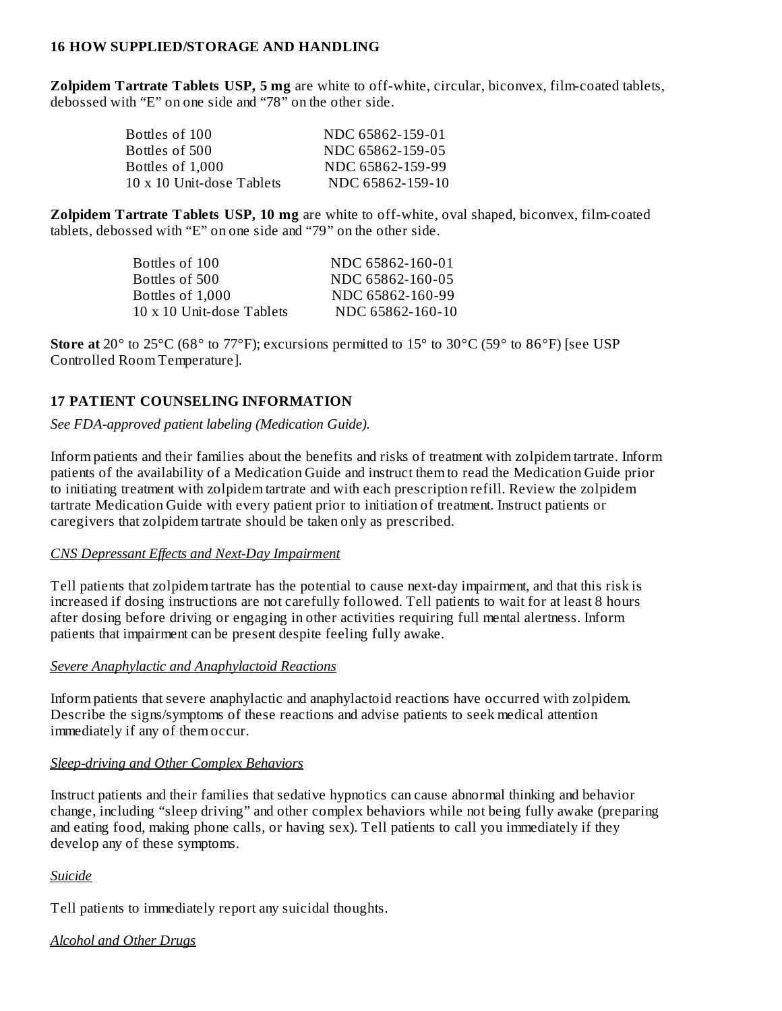#### **16 HOW SUPPLIED/STORAGE AND HANDLING**

**Zolpidem Tartrate Tablets USP, 5 mg** are white to off-white, circular, biconvex, film-coated tablets, debossed with "E" on one side and "78" on the other side.

| NDC 65862-159-01 |
|------------------|
| NDC 65862-159-05 |
| NDC 65862-159-99 |
| NDC 65862-159-10 |
|                  |

**Zolpidem Tartrate Tablets USP, 10 mg** are white to off-white, oval shaped, biconvex, film-coated tablets, debossed with "E" on one side and "79" on the other side.

| Bottles of 100            | NDC 65862-160-01 |
|---------------------------|------------------|
| Bottles of 500.           | NDC 65862-160-05 |
| Bottles of 1,000          | NDC 65862-160-99 |
| 10 x 10 Unit-dose Tablets | NDC 65862-160-10 |
|                           |                  |

**Store at** 20° to 25°C (68° to 77°F); excursions permitted to 15° to 30°C (59° to 86°F) [see USP Controlled Room Temperature].

#### **17 PATIENT COUNSELING INFORMATION**

#### *See FDA-approved patient labeling (Medication Guide).*

Inform patients and their families about the benefits and risks of treatment with zolpidem tartrate. Inform patients of the availability of a Medication Guide and instruct them to read the Medication Guide prior to initiating treatment with zolpidem tartrate and with each prescription refill. Review the zolpidem tartrate Medication Guide with every patient prior to initiation of treatment. Instruct patients or caregivers that zolpidem tartrate should be taken only as prescribed.

#### *CNS Depressant Effects and Next-Day Impairment*

Tell patients that zolpidem tartrate has the potential to cause next-day impairment, and that this risk is increased if dosing instructions are not carefully followed. Tell patients to wait for at least 8 hours after dosing before driving or engaging in other activities requiring full mental alertness. Inform patients that impairment can be present despite feeling fully awake.

#### *Severe Anaphylactic and Anaphylactoid Reactions*

Inform patients that severe anaphylactic and anaphylactoid reactions have occurred with zolpidem. Describe the signs/symptoms of these reactions and advise patients to seek medical attention immediately if any of them occur.

#### *Sleep-driving and Other Complex Behaviors*

Instruct patients and their families that sedative hypnotics can cause abnormal thinking and behavior change, including "sleep driving" and other complex behaviors while not being fully awake (preparing and eating food, making phone calls, or having sex). Tell patients to call you immediately if they develop any of these symptoms.

#### *Suicide*

Tell patients to immediately report any suicidal thoughts.

### *Alcohol and Other Drugs*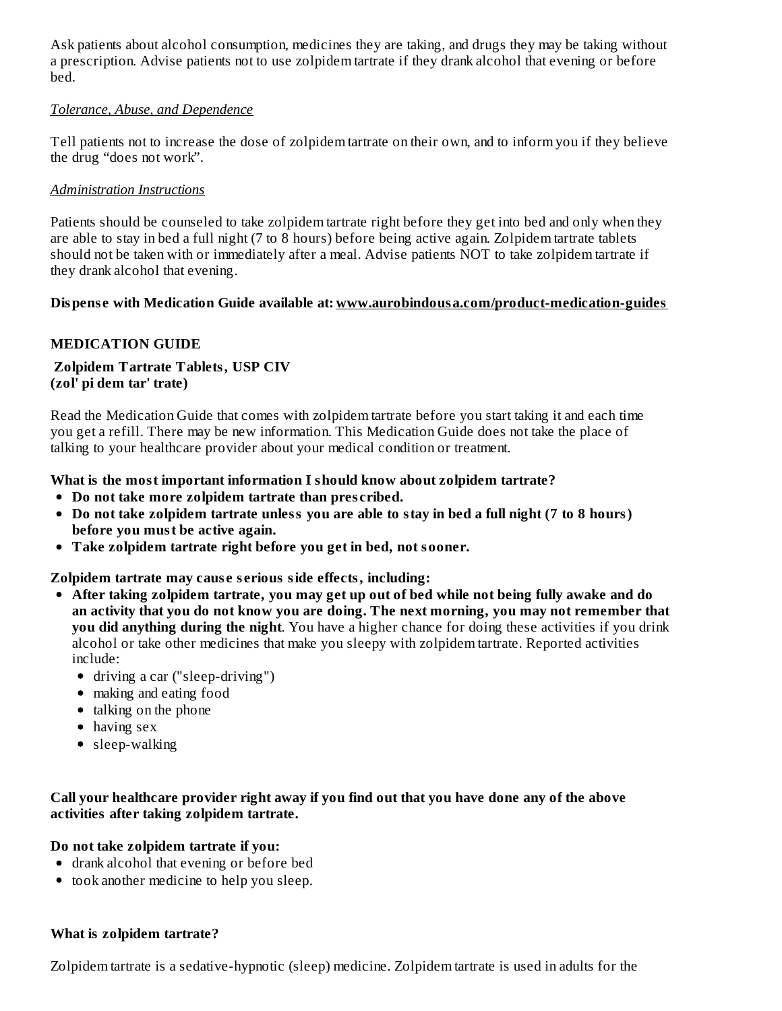Ask patients about alcohol consumption, medicines they are taking, and drugs they may be taking without a prescription. Advise patients not to use zolpidem tartrate if they drank alcohol that evening or before bed.

#### *Tolerance, Abuse, and Dependence*

Tell patients not to increase the dose of zolpidem tartrate on their own, and to inform you if they believe the drug "does not work".

#### *Administration Instructions*

Patients should be counseled to take zolpidem tartrate right before they get into bed and only when they are able to stay in bed a full night (7 to 8 hours) before being active again. Zolpidem tartrate tablets should not be taken with or immediately after a meal. Advise patients NOT to take zolpidem tartrate if they drank alcohol that evening.

#### **Dispens e with Medication Guide available at: www.aurobindousa.com/product-medication-guides**

#### **MEDICATION GUIDE**

#### **Zolpidem Tartrate Tablets, USP CIV (zol' pi dem tar' trate)**

Read the Medication Guide that comes with zolpidem tartrate before you start taking it and each time you get a refill. There may be new information. This Medication Guide does not take the place of talking to your healthcare provider about your medical condition or treatment.

#### **What is the most important information I should know about zolpidem tartrate?**

- **Do not take more zolpidem tartrate than pres cribed.**
- Do not take zolpidem tartrate unless you are able to stay in bed a full night (7 to 8 hours) **before you must be active again.**
- **Take zolpidem tartrate right before you get in bed, not sooner.**

#### **Zolpidem tartrate may caus e s erious side effects, including:**

- **After taking zolpidem tartrate, you may get up out of bed while not being fully awake and do an activity that you do not know you are doing. The next morning, you may not remember that you did anything during the night**. You have a higher chance for doing these activities if you drink alcohol or take other medicines that make you sleepy with zolpidem tartrate. Reported activities include:
	- driving a car ("sleep-driving")
	- making and eating food
	- talking on the phone
	- having sex
	- sleep-walking

#### **Call your healthcare provider right away if you find out that you have done any of the above activities after taking zolpidem tartrate.**

#### **Do not take zolpidem tartrate if you:**

- drank alcohol that evening or before bed
- took another medicine to help you sleep.

#### **What is zolpidem tartrate?**

Zolpidem tartrate is a sedative-hypnotic (sleep) medicine. Zolpidem tartrate is used in adults for the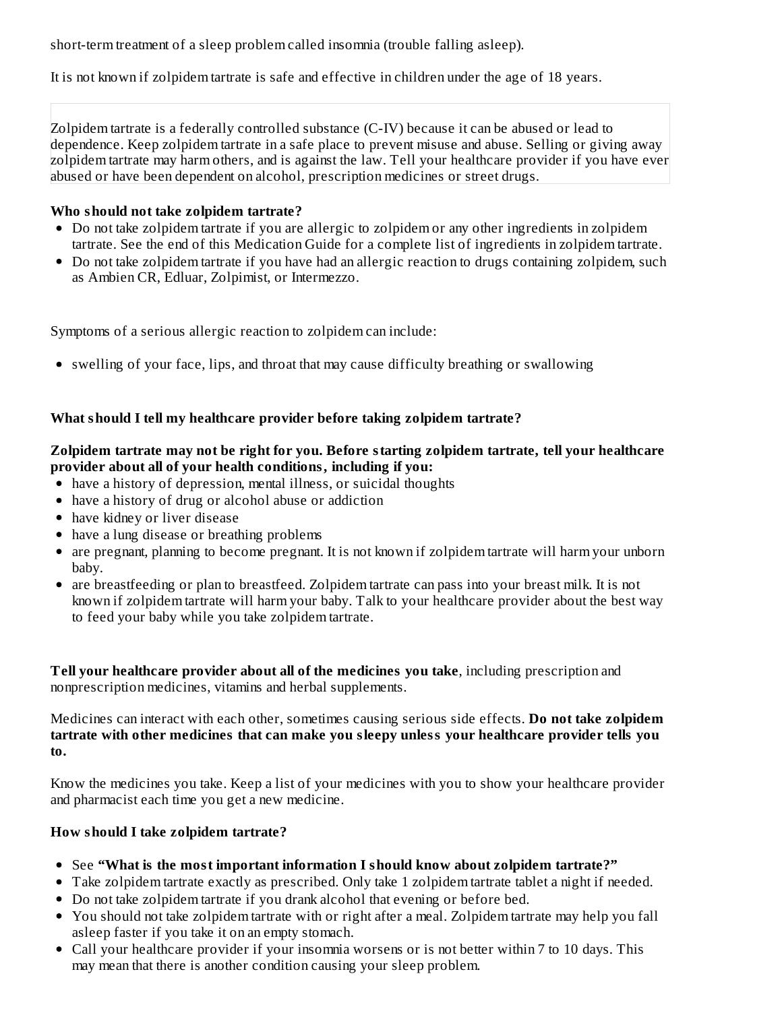short-term treatment of a sleep problem called insomnia (trouble falling asleep).

It is not known if zolpidem tartrate is safe and effective in children under the age of 18 years.

Zolpidem tartrate is a federally controlled substance (C-IV) because it can be abused or lead to dependence. Keep zolpidem tartrate in a safe place to prevent misuse and abuse. Selling or giving away zolpidem tartrate may harm others, and is against the law. Tell your healthcare provider if you have ever abused or have been dependent on alcohol, prescription medicines or street drugs.

### **Who should not take zolpidem tartrate?**

- Do not take zolpidem tartrate if you are allergic to zolpidem or any other ingredients in zolpidem tartrate. See the end of this Medication Guide for a complete list of ingredients in zolpidem tartrate.
- Do not take zolpidem tartrate if you have had an allergic reaction to drugs containing zolpidem, such as Ambien CR, Edluar, Zolpimist, or Intermezzo.

Symptoms of a serious allergic reaction to zolpidem can include:

swelling of your face, lips, and throat that may cause difficulty breathing or swallowing

### **What should I tell my healthcare provider before taking zolpidem tartrate?**

#### **Zolpidem tartrate may not be right for you. Before starting zolpidem tartrate, tell your healthcare provider about all of your health conditions, including if you:**

- have a history of depression, mental illness, or suicidal thoughts
- have a history of drug or alcohol abuse or addiction
- have kidney or liver disease
- have a lung disease or breathing problems
- are pregnant, planning to become pregnant. It is not known if zolpidem tartrate will harm your unborn baby.
- are breastfeeding or plan to breastfeed. Zolpidem tartrate can pass into your breast milk. It is not known if zolpidem tartrate will harm your baby. Talk to your healthcare provider about the best way to feed your baby while you take zolpidem tartrate.

**Tell your healthcare provider about all of the medicines you take**, including prescription and nonprescription medicines, vitamins and herbal supplements.

Medicines can interact with each other, sometimes causing serious side effects. **Do not take zolpidem tartrate with other medicines that can make you sleepy unless your healthcare provider tells you to.**

Know the medicines you take. Keep a list of your medicines with you to show your healthcare provider and pharmacist each time you get a new medicine.

#### **How should I take zolpidem tartrate?**

- See **"What is the most important information I should know about zolpidem tartrate?"**
- Take zolpidem tartrate exactly as prescribed. Only take 1 zolpidem tartrate tablet a night if needed.
- Do not take zolpidem tartrate if you drank alcohol that evening or before bed.
- You should not take zolpidem tartrate with or right after a meal. Zolpidem tartrate may help you fall asleep faster if you take it on an empty stomach.
- Call your healthcare provider if your insomnia worsens or is not better within 7 to 10 days. This may mean that there is another condition causing your sleep problem.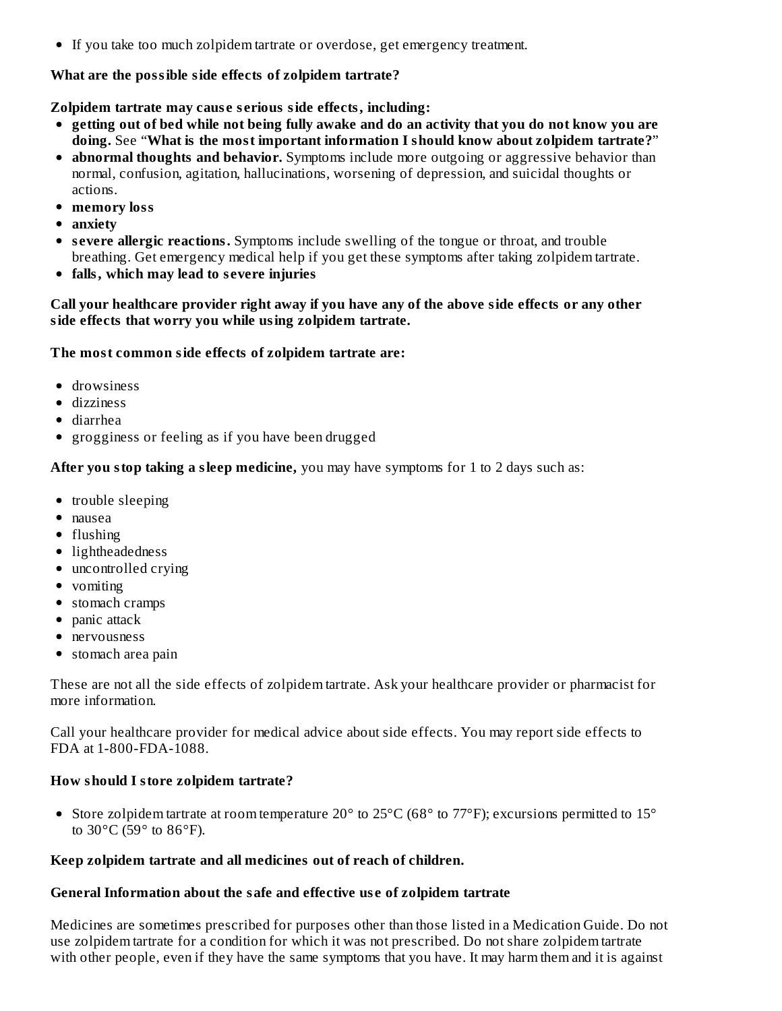If you take too much zolpidem tartrate or overdose, get emergency treatment.

#### **What are the possible side effects of zolpidem tartrate?**

#### **Zolpidem tartrate may caus e s erious side effects, including:**

- getting out of bed while not being fully awake and do an activity that you do not know you are **doing.** See "**What is the most important information I should know about zolpidem tartrate?**"
- **abnormal thoughts and behavior.** Symptoms include more outgoing or aggressive behavior than normal, confusion, agitation, hallucinations, worsening of depression, and suicidal thoughts or actions.
- **memory loss**
- **anxiety**
- **s evere allergic reactions.** Symptoms include swelling of the tongue or throat, and trouble breathing. Get emergency medical help if you get these symptoms after taking zolpidem tartrate.
- **falls, which may lead to s evere injuries**

#### **Call your healthcare provider right away if you have any of the above side effects or any other side effects that worry you while using zolpidem tartrate.**

#### **The most common side effects of zolpidem tartrate are:**

- drowsiness
- dizziness
- diarrhea
- grogginess or feeling as if you have been drugged

**After you stop taking a sleep medicine,** you may have symptoms for 1 to 2 days such as:

- trouble sleeping
- nausea
- flushing
- lightheadedness
- uncontrolled crying
- vomiting
- stomach cramps
- $\bullet$  panic attack
- nervousness
- stomach area pain

These are not all the side effects of zolpidem tartrate. Ask your healthcare provider or pharmacist for more information.

Call your healthcare provider for medical advice about side effects. You may report side effects to FDA at 1-800-FDA-1088.

#### **How should I store zolpidem tartrate?**

• Store zolpidem tartrate at room temperature 20° to 25°C (68° to 77°F); excursions permitted to 15° to 30°C (59° to 86°F).

#### **Keep zolpidem tartrate and all medicines out of reach of children.**

#### **General Information about the safe and effective us e of zolpidem tartrate**

Medicines are sometimes prescribed for purposes other than those listed in a Medication Guide. Do not use zolpidem tartrate for a condition for which it was not prescribed. Do not share zolpidem tartrate with other people, even if they have the same symptoms that you have. It may harm them and it is against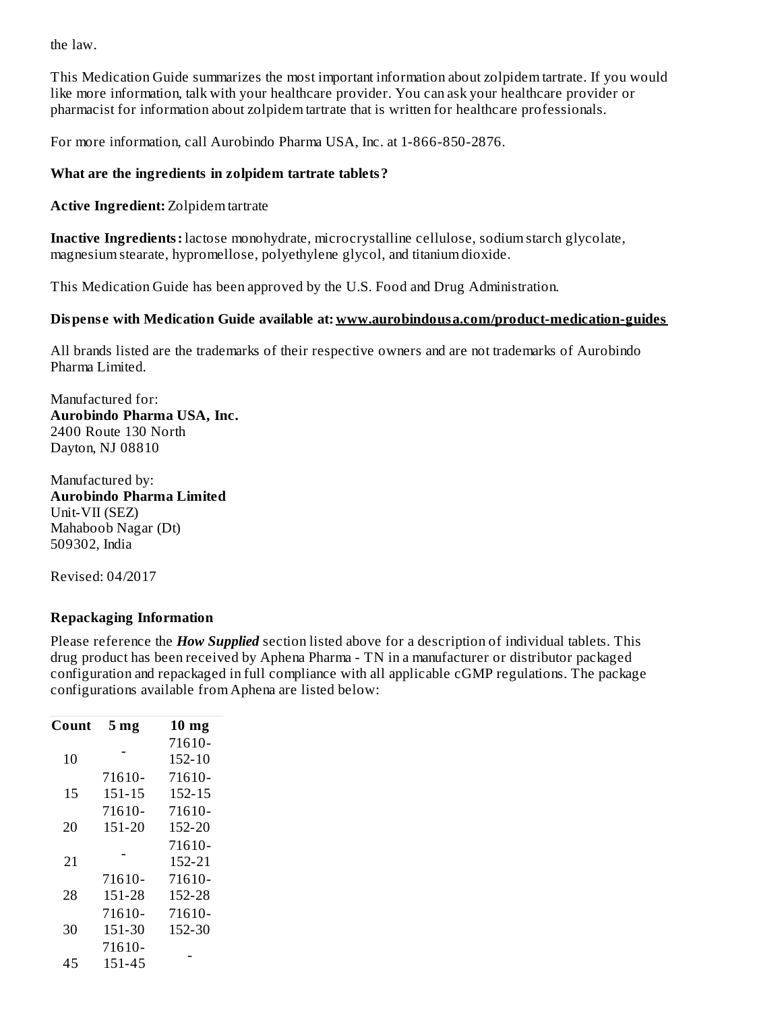the law.

This Medication Guide summarizes the most important information about zolpidem tartrate. If you would like more information, talk with your healthcare provider. You can ask your healthcare provider or pharmacist for information about zolpidem tartrate that is written for healthcare professionals.

For more information, call Aurobindo Pharma USA, Inc. at 1-866-850-2876.

#### **What are the ingredients in zolpidem tartrate tablets?**

**Active Ingredient:** Zolpidem tartrate

**Inactive Ingredients:** lactose monohydrate, microcrystalline cellulose, sodium starch glycolate, magnesium stearate, hypromellose, polyethylene glycol, and titanium dioxide.

This Medication Guide has been approved by the U.S. Food and Drug Administration.

#### **Dispens e with Medication Guide available at: www.aurobindousa.com/product-medication-guides**

All brands listed are the trademarks of their respective owners and are not trademarks of Aurobindo Pharma Limited.

Manufactured for: **Aurobindo Pharma USA, Inc.** 2400 Route 130 North Dayton, NJ 08810

Manufactured by: **Aurobindo Pharma Limited** Unit-VII (SEZ) Mahaboob Nagar (Dt) 509302, India

Revised: 04/2017

#### **Repackaging Information**

Please reference the *How Supplied* section listed above for a description of individual tablets. This drug product has been received by Aphena Pharma - TN in a manufacturer or distributor packaged configuration and repackaged in full compliance with all applicable cGMP regulations. The package configurations available from Aphena are listed below:

| Count | 5 <sub>mg</sub> | $10 \text{ mg}$ |
|-------|-----------------|-----------------|
|       |                 | 71610-          |
| 10    |                 | 152-10          |
|       | 71610-          | 71610-          |
| 15    | 151-15          | 152-15          |
|       | 71610-          | 71610-          |
| 20    | 151-20          | 152-20          |
|       |                 | 71610-          |
| 21    |                 | 152-21          |
|       | 71610-          | 71610-          |
| 28    | 151-28          | 152-28          |
|       | 71610-          | 71610-          |
| 30    | 151-30          | 152-30          |
|       | 71610-          |                 |
| 45    | 151-45          |                 |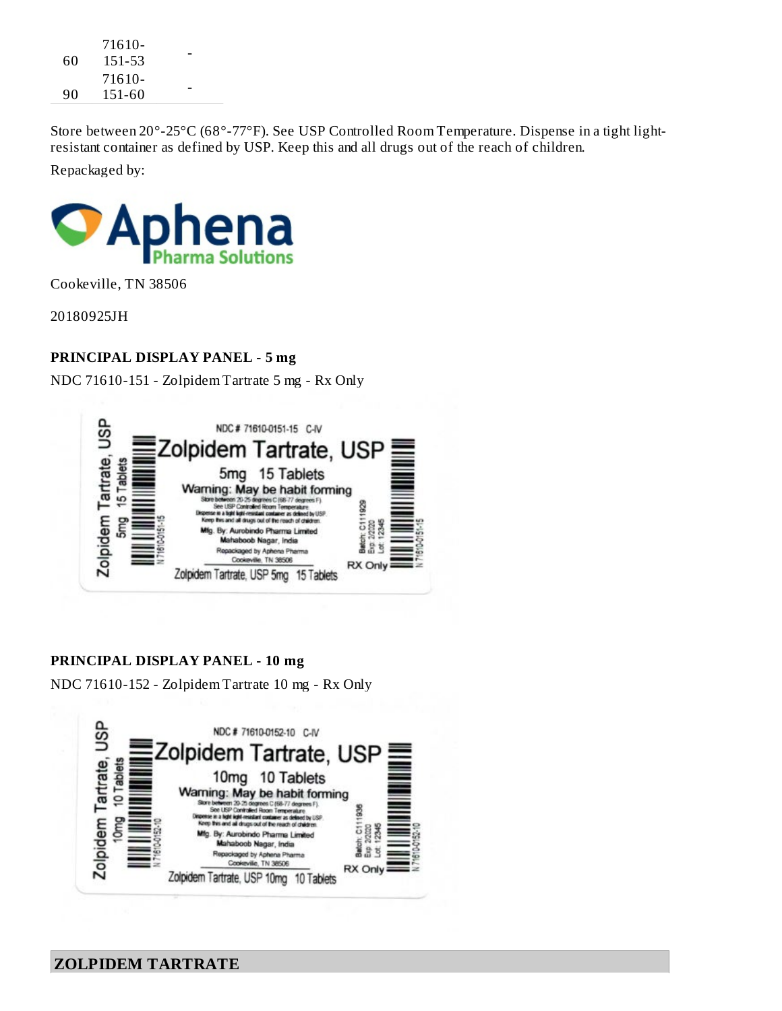| 60 | 71610-<br>151-53 |  |
|----|------------------|--|
| 90 | 71610-<br>151-60 |  |

Store between 20°-25°C (68°-77°F). See USP Controlled Room Temperature. Dispense in a tight lightresistant container as defined by USP. Keep this and all drugs out of the reach of children.

Repackaged by:



Cookeville, TN 38506

20180925JH

### **PRINCIPAL DISPLAY PANEL - 5 mg**

NDC 71610-151 - Zolpidem Tartrate 5 mg - Rx Only



#### **PRINCIPAL DISPLAY PANEL - 10 mg**

NDC 71610-152 - Zolpidem Tartrate 10 mg - Rx Only

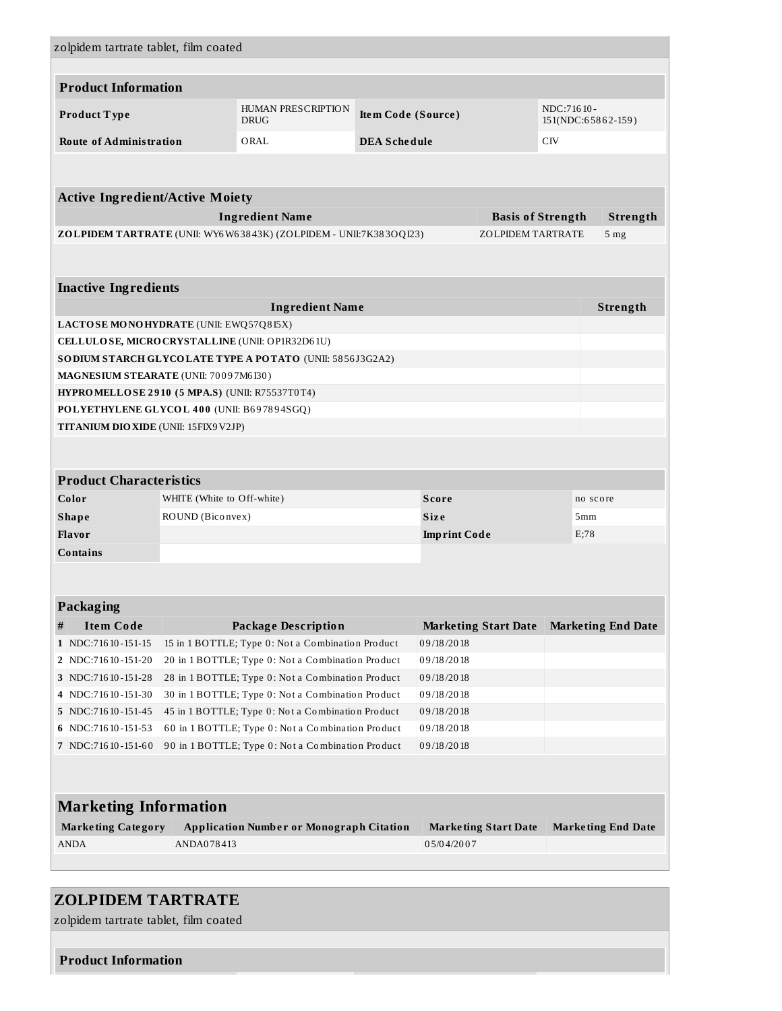| zolpidem tartrate tablet, film coated            |                            |                                                                   |                                                        |                     |                             |     |                           |
|--------------------------------------------------|----------------------------|-------------------------------------------------------------------|--------------------------------------------------------|---------------------|-----------------------------|-----|---------------------------|
| <b>Product Information</b>                       |                            |                                                                   |                                                        |                     |                             |     |                           |
| Product Type                                     |                            | HUMAN PRESCRIPTION<br><b>DRUG</b>                                 | NDC:71610-<br>Item Code (Source)<br>151(NDC:65862-159) |                     |                             |     |                           |
| <b>Route of Administration</b>                   |                            | ORAL                                                              | <b>DEA Schedule</b>                                    |                     |                             | CIV |                           |
|                                                  |                            |                                                                   |                                                        |                     |                             |     |                           |
|                                                  |                            |                                                                   |                                                        |                     |                             |     |                           |
| <b>Active Ingredient/Active Moiety</b>           |                            |                                                                   |                                                        |                     |                             |     |                           |
|                                                  |                            | <b>Ingredient Name</b>                                            |                                                        |                     | <b>Basis of Strength</b>    |     | Strength                  |
|                                                  |                            | ZOLPIDEM TARTRATE (UNII: WY6W63843K) (ZOLPIDEM - UNII:7K383OQI23) |                                                        |                     | ZOLPIDEM TARTRATE           |     | 5 <sub>mg</sub>           |
|                                                  |                            |                                                                   |                                                        |                     |                             |     |                           |
| <b>Inactive Ingredients</b>                      |                            |                                                                   |                                                        |                     |                             |     |                           |
|                                                  |                            | <b>Ingredient Name</b>                                            |                                                        |                     |                             |     | Strength                  |
| <b>LACTOSE MONOHYDRATE</b> (UNII: EWQ57Q8I5X)    |                            |                                                                   |                                                        |                     |                             |     |                           |
| CELLULOSE, MICROCRYSTALLINE (UNII: OP1R32D61U)   |                            |                                                                   |                                                        |                     |                             |     |                           |
|                                                  |                            | SODIUM STARCH GLYCOLATE TYPE A POTATO (UNII: 5856J3G2A2)          |                                                        |                     |                             |     |                           |
| MAGNESIUM STEARATE (UNII: 70097M6I30)            |                            |                                                                   |                                                        |                     |                             |     |                           |
| $HYPROMELLOSE 2910 (5 MPA.S) (UNII: R75537T0T4)$ |                            |                                                                   |                                                        |                     |                             |     |                           |
| POLYETHYLENE GLYCOL 400 (UNII: B697894SGQ)       |                            |                                                                   |                                                        |                     |                             |     |                           |
| TITANIUM DIO XIDE (UNII: 15FIX9V2JP)             |                            |                                                                   |                                                        |                     |                             |     |                           |
|                                                  |                            |                                                                   |                                                        |                     |                             |     |                           |
| <b>Product Characteristics</b>                   |                            |                                                                   |                                                        |                     |                             |     |                           |
| Color                                            | WHITE (White to Off-white) |                                                                   |                                                        | <b>Score</b>        |                             |     | no score                  |
| <b>Shape</b>                                     | ROUND (Biconvex)           |                                                                   |                                                        | <b>Size</b>         |                             |     | 5mm                       |
| <b>Flavor</b>                                    |                            |                                                                   |                                                        | <b>Imprint Code</b> |                             |     | E;78                      |
| Contains                                         |                            |                                                                   |                                                        |                     |                             |     |                           |
|                                                  |                            |                                                                   |                                                        |                     |                             |     |                           |
|                                                  |                            |                                                                   |                                                        |                     |                             |     |                           |
| <b>Packaging</b>                                 |                            |                                                                   |                                                        |                     |                             |     |                           |
| <b>Item Code</b><br>#                            |                            | <b>Package Description</b>                                        |                                                        |                     | <b>Marketing Start Date</b> |     | <b>Marketing End Date</b> |
| 1 NDC:71610-151-15                               |                            | 15 in 1 BOTTLE; Type 0: Not a Combination Product                 |                                                        | 09/18/2018          |                             |     |                           |
| 2 NDC:71610-151-20                               |                            | 20 in 1 BOTTLE; Type 0: Not a Combination Product                 |                                                        | 09/18/2018          |                             |     |                           |
| 3 NDC:71610-151-28                               |                            | 28 in 1 BOTTLE; Type 0: Not a Combination Product                 |                                                        | 09/18/2018          |                             |     |                           |
| 4 NDC:71610-151-30                               |                            | 30 in 1 BOTTLE; Type 0: Not a Combination Product                 |                                                        | 09/18/2018          |                             |     |                           |
| 5 NDC:71610-151-45                               |                            | 45 in 1 BOTTLE; Type 0: Not a Combination Product                 |                                                        | 09/18/2018          |                             |     |                           |
| 6 NDC:71610-151-53                               |                            | 60 in 1 BOTTLE; Type 0: Not a Combination Product                 |                                                        | 09/18/2018          |                             |     |                           |
| 7 NDC:71610-151-60                               |                            | 90 in 1 BOTTLE; Type 0: Not a Combination Product                 |                                                        | 09/18/2018          |                             |     |                           |
|                                                  |                            |                                                                   |                                                        |                     |                             |     |                           |
| <b>Marketing Information</b>                     |                            |                                                                   |                                                        |                     |                             |     |                           |
| <b>Marketing Category</b>                        |                            | <b>Application Number or Monograph Citation</b>                   |                                                        |                     | <b>Marketing Start Date</b> |     | <b>Marketing End Date</b> |
| <b>ANDA</b>                                      | ANDA078413                 |                                                                   |                                                        | 05/04/2007          |                             |     |                           |
|                                                  |                            |                                                                   |                                                        |                     |                             |     |                           |

# **ZOLPIDEM TARTRATE**

zolpidem tartrate tablet, film coated

#### **Product Information**